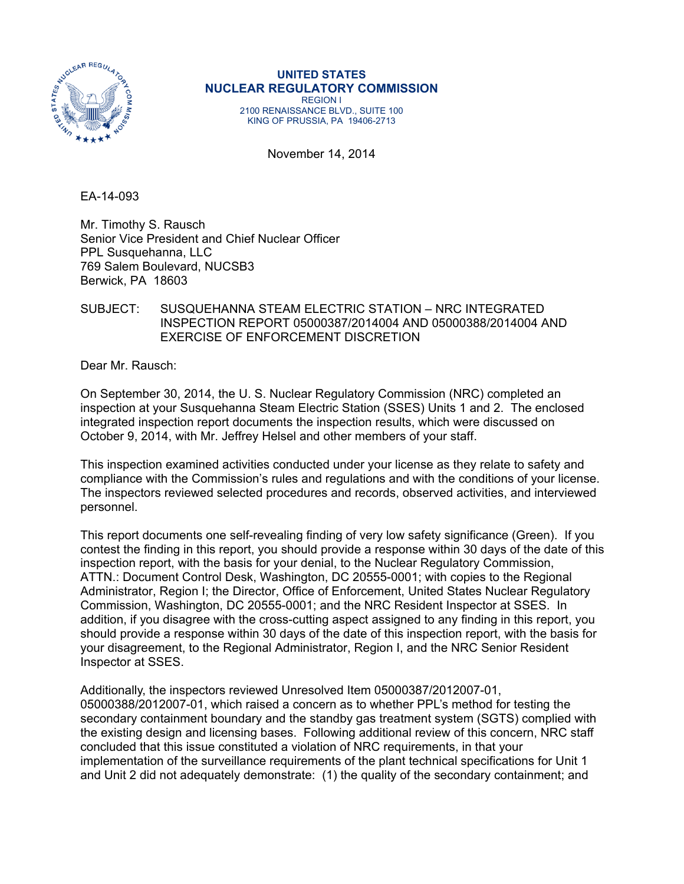

**UNITED STATES NUCLEAR REGULATORY COMMISSION**  REGION I 2100 RENAISSANCE BLVD., SUITE 100

KING OF PRUSSIA, PA 19406-2713

November 14, 2014

EA-14-093

Mr. Timothy S. Rausch Senior Vice President and Chief Nuclear Officer PPL Susquehanna, LLC 769 Salem Boulevard, NUCSB3 Berwick, PA 18603

## SUBJECT: SUSQUEHANNA STEAM ELECTRIC STATION – NRC INTEGRATED INSPECTION REPORT 05000387/2014004 AND 05000388/2014004 AND EXERCISE OF ENFORCEMENT DISCRETION

Dear Mr. Rausch:

On September 30, 2014, the U. S. Nuclear Regulatory Commission (NRC) completed an inspection at your Susquehanna Steam Electric Station (SSES) Units 1 and 2. The enclosed integrated inspection report documents the inspection results, which were discussed on October 9, 2014, with Mr. Jeffrey Helsel and other members of your staff.

This inspection examined activities conducted under your license as they relate to safety and compliance with the Commission's rules and regulations and with the conditions of your license. The inspectors reviewed selected procedures and records, observed activities, and interviewed personnel.

This report documents one self-revealing finding of very low safety significance (Green). If you contest the finding in this report, you should provide a response within 30 days of the date of this inspection report, with the basis for your denial, to the Nuclear Regulatory Commission, ATTN.: Document Control Desk, Washington, DC 20555-0001; with copies to the Regional Administrator, Region I; the Director, Office of Enforcement, United States Nuclear Regulatory Commission, Washington, DC 20555-0001; and the NRC Resident Inspector at SSES. In addition, if you disagree with the cross-cutting aspect assigned to any finding in this report, you should provide a response within 30 days of the date of this inspection report, with the basis for your disagreement, to the Regional Administrator, Region I, and the NRC Senior Resident Inspector at SSES.

Additionally, the inspectors reviewed Unresolved Item 05000387/2012007-01, 05000388/2012007-01, which raised a concern as to whether PPL's method for testing the secondary containment boundary and the standby gas treatment system (SGTS) complied with the existing design and licensing bases. Following additional review of this concern, NRC staff concluded that this issue constituted a violation of NRC requirements, in that your implementation of the surveillance requirements of the plant technical specifications for Unit 1 and Unit 2 did not adequately demonstrate: (1) the quality of the secondary containment; and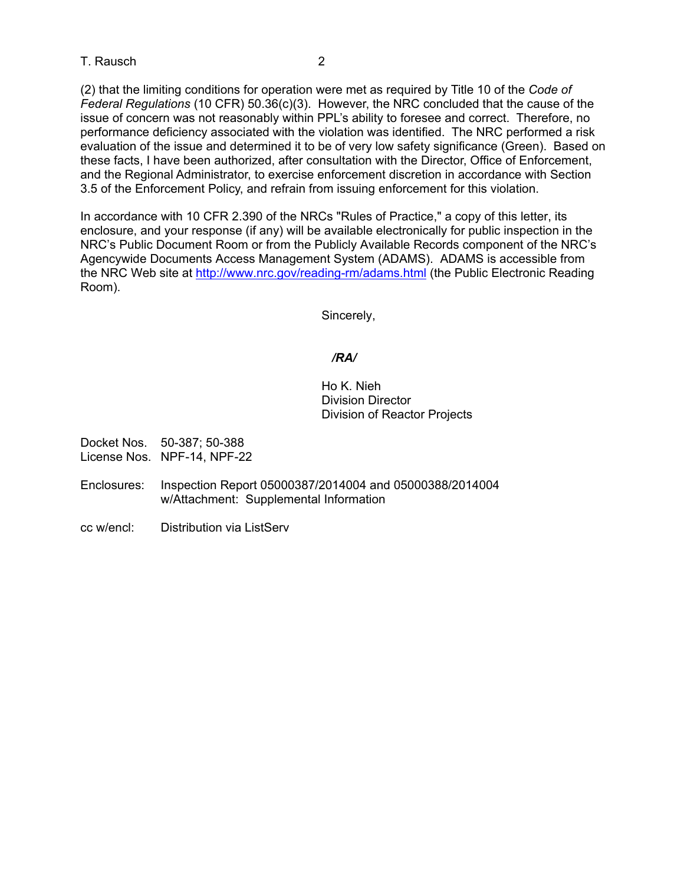## T. Rausch 2

(2) that the limiting conditions for operation were met as required by Title 10 of the *Code of Federal Regulations* (10 CFR) 50.36(c)(3). However, the NRC concluded that the cause of the issue of concern was not reasonably within PPL's ability to foresee and correct. Therefore, no performance deficiency associated with the violation was identified. The NRC performed a risk evaluation of the issue and determined it to be of very low safety significance (Green). Based on these facts, I have been authorized, after consultation with the Director, Office of Enforcement, and the Regional Administrator, to exercise enforcement discretion in accordance with Section 3.5 of the Enforcement Policy, and refrain from issuing enforcement for this violation.

In accordance with 10 CFR 2.390 of the NRCs "Rules of Practice," a copy of this letter, its enclosure, and your response (if any) will be available electronically for public inspection in the NRC's Public Document Room or from the Publicly Available Records component of the NRC's Agencywide Documents Access Management System (ADAMS). ADAMS is accessible from the NRC Web site at http://www.nrc.gov/reading-rm/adams.html (the Public Electronic Reading Room).

Sincerely,

## */RA/*

Ho K. Nieh Division Director Division of Reactor Projects

Docket Nos. 50-387; 50-388 License Nos. NPF-14, NPF-22

- Enclosures: Inspection Report 05000387/2014004 and 05000388/2014004 w/Attachment: Supplemental Information
- cc w/encl: Distribution via ListServ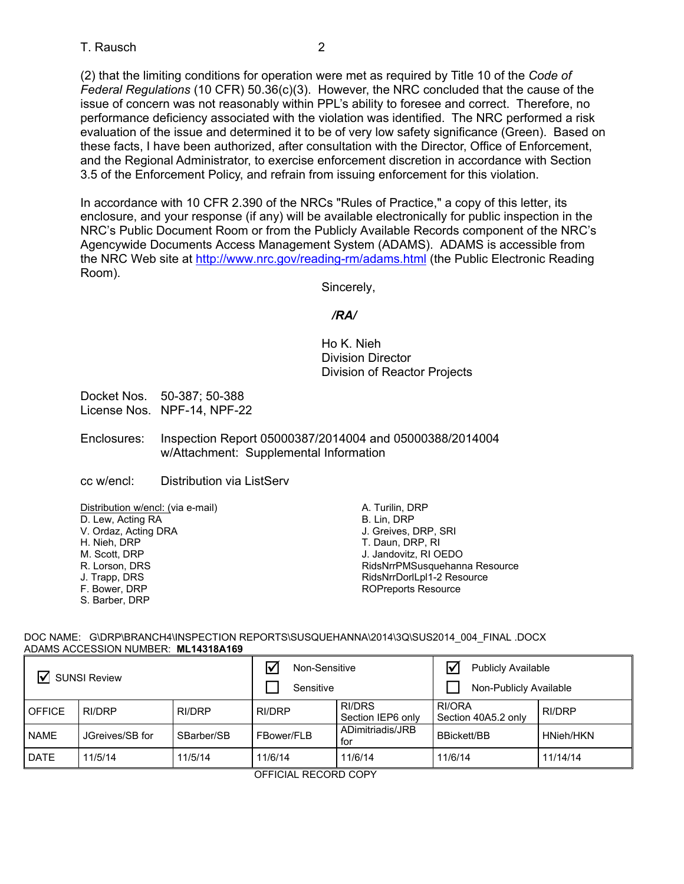(2) that the limiting conditions for operation were met as required by Title 10 of the *Code of Federal Regulations* (10 CFR) 50.36(c)(3). However, the NRC concluded that the cause of the issue of concern was not reasonably within PPL's ability to foresee and correct. Therefore, no performance deficiency associated with the violation was identified. The NRC performed a risk evaluation of the issue and determined it to be of very low safety significance (Green). Based on these facts, I have been authorized, after consultation with the Director, Office of Enforcement, and the Regional Administrator, to exercise enforcement discretion in accordance with Section 3.5 of the Enforcement Policy, and refrain from issuing enforcement for this violation.

In accordance with 10 CFR 2.390 of the NRCs "Rules of Practice," a copy of this letter, its enclosure, and your response (if any) will be available electronically for public inspection in the NRC's Public Document Room or from the Publicly Available Records component of the NRC's Agencywide Documents Access Management System (ADAMS). ADAMS is accessible from the NRC Web site at http://www.nrc.gov/reading-rm/adams.html (the Public Electronic Reading Room).

Sincerely,

## */RA/*

Ho K. Nieh Division Director Division of Reactor Projects

Docket Nos. 50-387; 50-388 License Nos. NPF-14, NPF-22

Enclosures: Inspection Report 05000387/2014004 and 05000388/2014004 w/Attachment: Supplemental Information

cc w/encl: Distribution via ListServ

Distribution w/encl: (via e-mail)

D. Lew, Acting RA V. Ordaz, Acting DRA

- H. Nieh, DRP
- M. Scott, DRP
- R. Lorson, DRS
- J. Trapp, DRS
- F. Bower, DRP
- S. Barber, DRP

A. Turilin, DRP B. Lin, DRP J. Greives, DRP, SRI T. Daun, DRP, RI J. Jandovitz, RI OEDO RidsNrrPMSusquehanna Resource RidsNrrDorlLpl1-2 Resource ROPreports Resource

#### DOC NAME: G\DRP\BRANCH4\INSPECTION REPORTS\SUSQUEHANNA\2014\3Q\SUS2014\_004\_FINAL .DOCX ADAMS ACCESSION NUMBER: **ML14318A169**

| ∇<br><b>SUNSI Review</b> |                 |            | $\overline{\mathbf{v}}$<br>Non-Sensitive<br>Sensitive |                                    | <b>Publicly Available</b><br>Non-Publicly Available |           |
|--------------------------|-----------------|------------|-------------------------------------------------------|------------------------------------|-----------------------------------------------------|-----------|
| <b>OFFICE</b>            | RI/DRP          | RI/DRP     | <b>RI/DRP</b>                                         | <b>RI/DRS</b><br>Section IEP6 only | RI/ORA<br>Section 40A5.2 only                       | RI/DRP    |
| <b>NAME</b>              | JGreives/SB for | SBarber/SB | FBower/FLB                                            | ADimitriadis/JRB<br>for            | <b>BBickett/BB</b>                                  | HNieh/HKN |
| <b>DATE</b>              | 11/5/14         | 11/5/14    | 11/6/14                                               | 11/6/14                            | 11/6/14                                             | 11/14/14  |

OFFICIAL RECORD COPY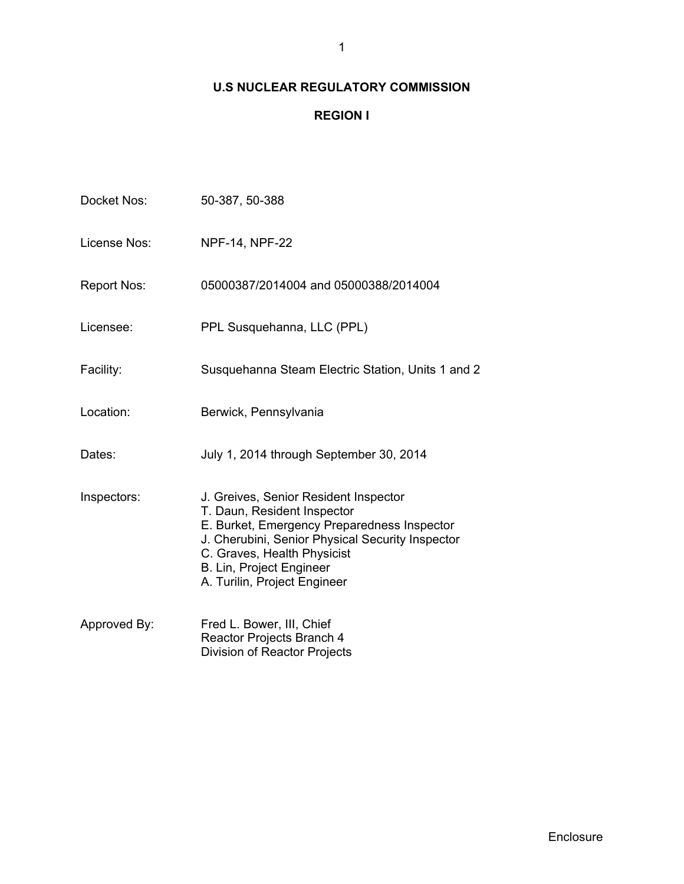# **U.S NUCLEAR REGULATORY COMMISSION**

# **REGION I**

| Docket Nos:        | 50-387, 50-388                                                                                                                                                                                                                                                            |
|--------------------|---------------------------------------------------------------------------------------------------------------------------------------------------------------------------------------------------------------------------------------------------------------------------|
| License Nos:       | <b>NPF-14, NPF-22</b>                                                                                                                                                                                                                                                     |
| <b>Report Nos:</b> | 05000387/2014004 and 05000388/2014004                                                                                                                                                                                                                                     |
| Licensee:          | PPL Susquehanna, LLC (PPL)                                                                                                                                                                                                                                                |
| Facility:          | Susquehanna Steam Electric Station, Units 1 and 2                                                                                                                                                                                                                         |
| Location:          | Berwick, Pennsylvania                                                                                                                                                                                                                                                     |
| Dates:             | July 1, 2014 through September 30, 2014                                                                                                                                                                                                                                   |
| Inspectors:        | J. Greives, Senior Resident Inspector<br>T. Daun, Resident Inspector<br>E. Burket, Emergency Preparedness Inspector<br>J. Cherubini, Senior Physical Security Inspector<br>C. Graves, Health Physicist<br><b>B. Lin, Project Engineer</b><br>A. Turilin, Project Engineer |
| Approved By:       | Fred L. Bower, III, Chief<br>Reactor Projects Branch 4<br><b>Division of Reactor Projects</b>                                                                                                                                                                             |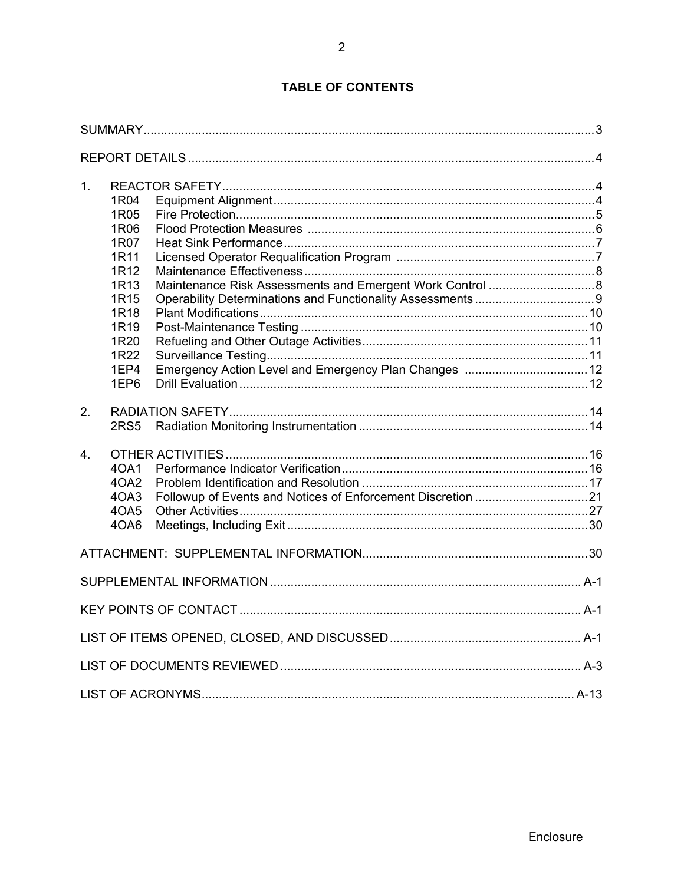| 1.               | 1R04<br>1R05<br>1R06<br>1R07<br>1R11<br>1R12<br>1R13<br>1R15<br>1R18<br>1R <sub>19</sub><br>1R20<br>1R22<br>1EP4<br>1EP6 |  |
|------------------|--------------------------------------------------------------------------------------------------------------------------|--|
| 2.               | <b>2RS5</b>                                                                                                              |  |
| $\overline{4}$ . | 40A1<br>40A2<br>4OA3<br>4OA5<br>4OA6                                                                                     |  |
|                  |                                                                                                                          |  |
|                  |                                                                                                                          |  |
|                  |                                                                                                                          |  |
|                  |                                                                                                                          |  |
|                  |                                                                                                                          |  |
|                  |                                                                                                                          |  |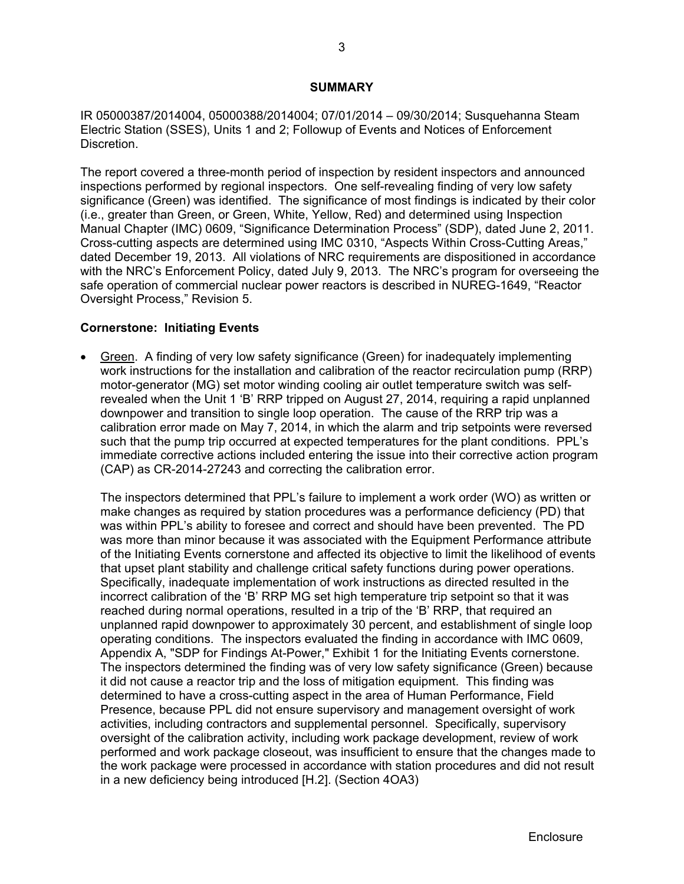#### **SUMMARY**

IR 05000387/2014004, 05000388/2014004; 07/01/2014 – 09/30/2014; Susquehanna Steam Electric Station (SSES), Units 1 and 2; Followup of Events and Notices of Enforcement Discretion.

The report covered a three-month period of inspection by resident inspectors and announced inspections performed by regional inspectors. One self-revealing finding of very low safety significance (Green) was identified. The significance of most findings is indicated by their color (i.e., greater than Green, or Green, White, Yellow, Red) and determined using Inspection Manual Chapter (IMC) 0609, "Significance Determination Process" (SDP), dated June 2, 2011. Cross-cutting aspects are determined using IMC 0310, "Aspects Within Cross-Cutting Areas," dated December 19, 2013. All violations of NRC requirements are dispositioned in accordance with the NRC's Enforcement Policy, dated July 9, 2013. The NRC's program for overseeing the safe operation of commercial nuclear power reactors is described in NUREG-1649, "Reactor Oversight Process," Revision 5.

## **Cornerstone: Initiating Events**

 Green. A finding of very low safety significance (Green) for inadequately implementing work instructions for the installation and calibration of the reactor recirculation pump (RRP) motor-generator (MG) set motor winding cooling air outlet temperature switch was selfrevealed when the Unit 1 'B' RRP tripped on August 27, 2014, requiring a rapid unplanned downpower and transition to single loop operation. The cause of the RRP trip was a calibration error made on May 7, 2014, in which the alarm and trip setpoints were reversed such that the pump trip occurred at expected temperatures for the plant conditions. PPL's immediate corrective actions included entering the issue into their corrective action program (CAP) as CR-2014-27243 and correcting the calibration error.

The inspectors determined that PPL's failure to implement a work order (WO) as written or make changes as required by station procedures was a performance deficiency (PD) that was within PPL's ability to foresee and correct and should have been prevented. The PD was more than minor because it was associated with the Equipment Performance attribute of the Initiating Events cornerstone and affected its objective to limit the likelihood of events that upset plant stability and challenge critical safety functions during power operations. Specifically, inadequate implementation of work instructions as directed resulted in the incorrect calibration of the 'B' RRP MG set high temperature trip setpoint so that it was reached during normal operations, resulted in a trip of the 'B' RRP, that required an unplanned rapid downpower to approximately 30 percent, and establishment of single loop operating conditions. The inspectors evaluated the finding in accordance with IMC 0609, Appendix A, "SDP for Findings At-Power," Exhibit 1 for the Initiating Events cornerstone. The inspectors determined the finding was of very low safety significance (Green) because it did not cause a reactor trip and the loss of mitigation equipment. This finding was determined to have a cross-cutting aspect in the area of Human Performance, Field Presence, because PPL did not ensure supervisory and management oversight of work activities, including contractors and supplemental personnel. Specifically, supervisory oversight of the calibration activity, including work package development, review of work performed and work package closeout, was insufficient to ensure that the changes made to the work package were processed in accordance with station procedures and did not result in a new deficiency being introduced [H.2]. (Section 4OA3)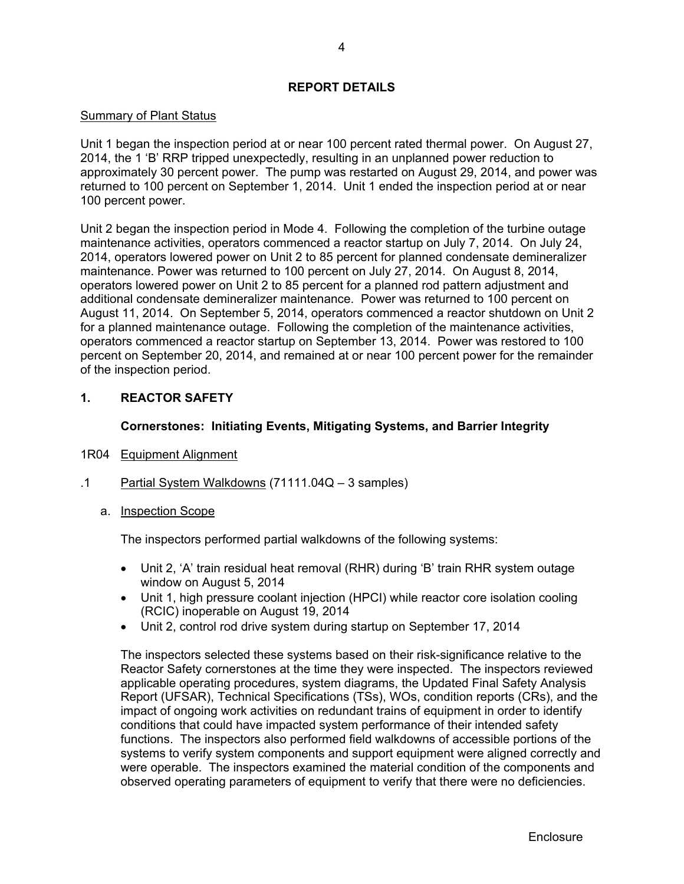## **REPORT DETAILS**

## Summary of Plant Status

Unit 1 began the inspection period at or near 100 percent rated thermal power. On August 27, 2014, the 1 'B' RRP tripped unexpectedly, resulting in an unplanned power reduction to approximately 30 percent power. The pump was restarted on August 29, 2014, and power was returned to 100 percent on September 1, 2014. Unit 1 ended the inspection period at or near 100 percent power.

Unit 2 began the inspection period in Mode 4. Following the completion of the turbine outage maintenance activities, operators commenced a reactor startup on July 7, 2014. On July 24, 2014, operators lowered power on Unit 2 to 85 percent for planned condensate demineralizer maintenance. Power was returned to 100 percent on July 27, 2014. On August 8, 2014, operators lowered power on Unit 2 to 85 percent for a planned rod pattern adjustment and additional condensate demineralizer maintenance. Power was returned to 100 percent on August 11, 2014. On September 5, 2014, operators commenced a reactor shutdown on Unit 2 for a planned maintenance outage. Following the completion of the maintenance activities, operators commenced a reactor startup on September 13, 2014. Power was restored to 100 percent on September 20, 2014, and remained at or near 100 percent power for the remainder of the inspection period.

## **1. REACTOR SAFETY**

## **Cornerstones: Initiating Events, Mitigating Systems, and Barrier Integrity**

- 1R04 Equipment Alignment
- .1 Partial System Walkdowns (71111.04Q 3 samples)

## a. Inspection Scope

The inspectors performed partial walkdowns of the following systems:

- Unit 2, 'A' train residual heat removal (RHR) during 'B' train RHR system outage window on August 5, 2014
- Unit 1, high pressure coolant injection (HPCI) while reactor core isolation cooling (RCIC) inoperable on August 19, 2014
- Unit 2, control rod drive system during startup on September 17, 2014

The inspectors selected these systems based on their risk-significance relative to the Reactor Safety cornerstones at the time they were inspected. The inspectors reviewed applicable operating procedures, system diagrams, the Updated Final Safety Analysis Report (UFSAR), Technical Specifications (TSs), WOs, condition reports (CRs), and the impact of ongoing work activities on redundant trains of equipment in order to identify conditions that could have impacted system performance of their intended safety functions. The inspectors also performed field walkdowns of accessible portions of the systems to verify system components and support equipment were aligned correctly and were operable. The inspectors examined the material condition of the components and observed operating parameters of equipment to verify that there were no deficiencies.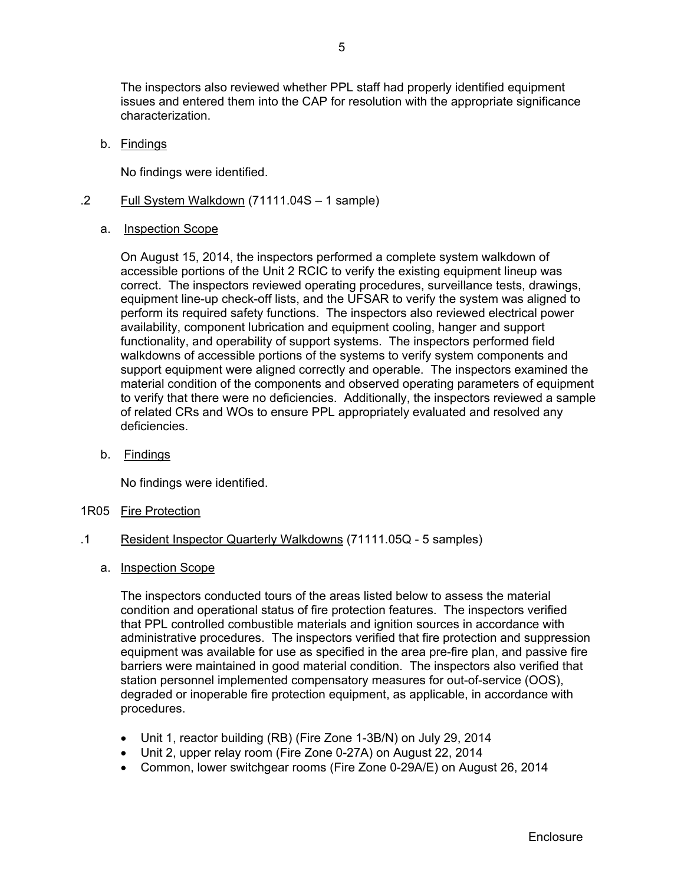The inspectors also reviewed whether PPL staff had properly identified equipment issues and entered them into the CAP for resolution with the appropriate significance characterization.

b. Findings

No findings were identified.

- .2 Full System Walkdown (71111.04S 1 sample)
	- a. Inspection Scope

On August 15, 2014, the inspectors performed a complete system walkdown of accessible portions of the Unit 2 RCIC to verify the existing equipment lineup was correct. The inspectors reviewed operating procedures, surveillance tests, drawings, equipment line-up check-off lists, and the UFSAR to verify the system was aligned to perform its required safety functions. The inspectors also reviewed electrical power availability, component lubrication and equipment cooling, hanger and support functionality, and operability of support systems. The inspectors performed field walkdowns of accessible portions of the systems to verify system components and support equipment were aligned correctly and operable. The inspectors examined the material condition of the components and observed operating parameters of equipment to verify that there were no deficiencies. Additionally, the inspectors reviewed a sample of related CRs and WOs to ensure PPL appropriately evaluated and resolved any deficiencies.

b. Findings

No findings were identified.

1R05 Fire Protection

## .1 Resident Inspector Quarterly Walkdowns (71111.05Q - 5 samples)

a. Inspection Scope

The inspectors conducted tours of the areas listed below to assess the material condition and operational status of fire protection features. The inspectors verified that PPL controlled combustible materials and ignition sources in accordance with administrative procedures. The inspectors verified that fire protection and suppression equipment was available for use as specified in the area pre-fire plan, and passive fire barriers were maintained in good material condition. The inspectors also verified that station personnel implemented compensatory measures for out-of-service (OOS), degraded or inoperable fire protection equipment, as applicable, in accordance with procedures.

- Unit 1, reactor building (RB) (Fire Zone 1-3B/N) on July 29, 2014
- Unit 2, upper relay room (Fire Zone 0-27A) on August 22, 2014
- Common, lower switchgear rooms (Fire Zone 0-29A/E) on August 26, 2014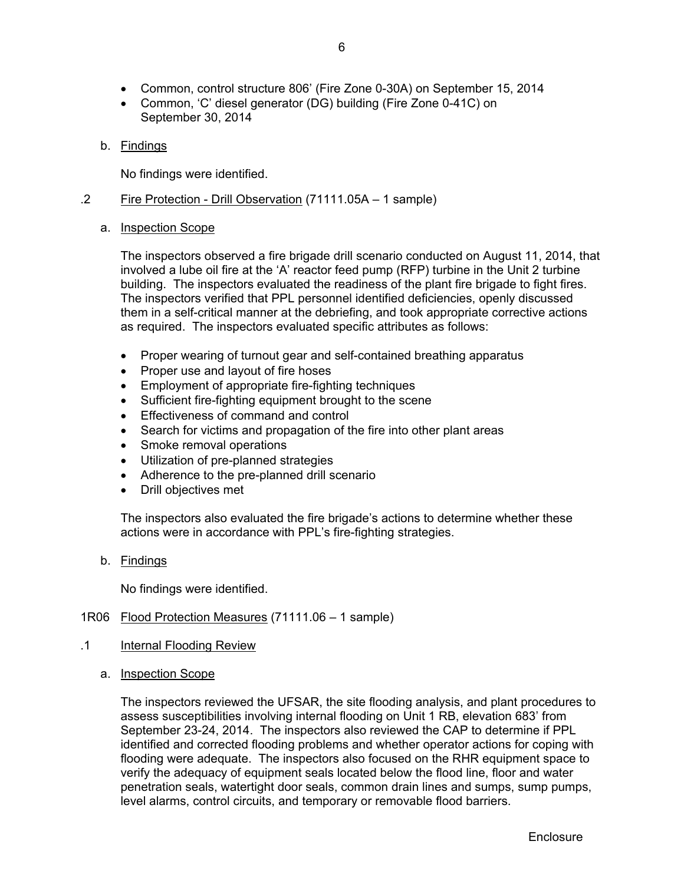- Common, control structure 806' (Fire Zone 0-30A) on September 15, 2014
- Common, 'C' diesel generator (DG) building (Fire Zone 0-41C) on September 30, 2014
- b. Findings

No findings were identified.

- .2 Fire Protection Drill Observation (71111.05A 1 sample)
	- a. Inspection Scope

The inspectors observed a fire brigade drill scenario conducted on August 11, 2014, that involved a lube oil fire at the 'A' reactor feed pump (RFP) turbine in the Unit 2 turbine building. The inspectors evaluated the readiness of the plant fire brigade to fight fires. The inspectors verified that PPL personnel identified deficiencies, openly discussed them in a self-critical manner at the debriefing, and took appropriate corrective actions as required. The inspectors evaluated specific attributes as follows:

- Proper wearing of turnout gear and self-contained breathing apparatus
- Proper use and layout of fire hoses
- Employment of appropriate fire-fighting techniques
- Sufficient fire-fighting equipment brought to the scene
- **Effectiveness of command and control**
- Search for victims and propagation of the fire into other plant areas
- Smoke removal operations
- Utilization of pre-planned strategies
- Adherence to the pre-planned drill scenario
- Drill objectives met

The inspectors also evaluated the fire brigade's actions to determine whether these actions were in accordance with PPL's fire-fighting strategies.

b. Findings

No findings were identified.

## 1R06 Flood Protection Measures (71111.06 – 1 sample)

- .1 Internal Flooding Review
	- a. Inspection Scope

The inspectors reviewed the UFSAR, the site flooding analysis, and plant procedures to assess susceptibilities involving internal flooding on Unit 1 RB, elevation 683' from September 23-24, 2014. The inspectors also reviewed the CAP to determine if PPL identified and corrected flooding problems and whether operator actions for coping with flooding were adequate. The inspectors also focused on the RHR equipment space to verify the adequacy of equipment seals located below the flood line, floor and water penetration seals, watertight door seals, common drain lines and sumps, sump pumps, level alarms, control circuits, and temporary or removable flood barriers.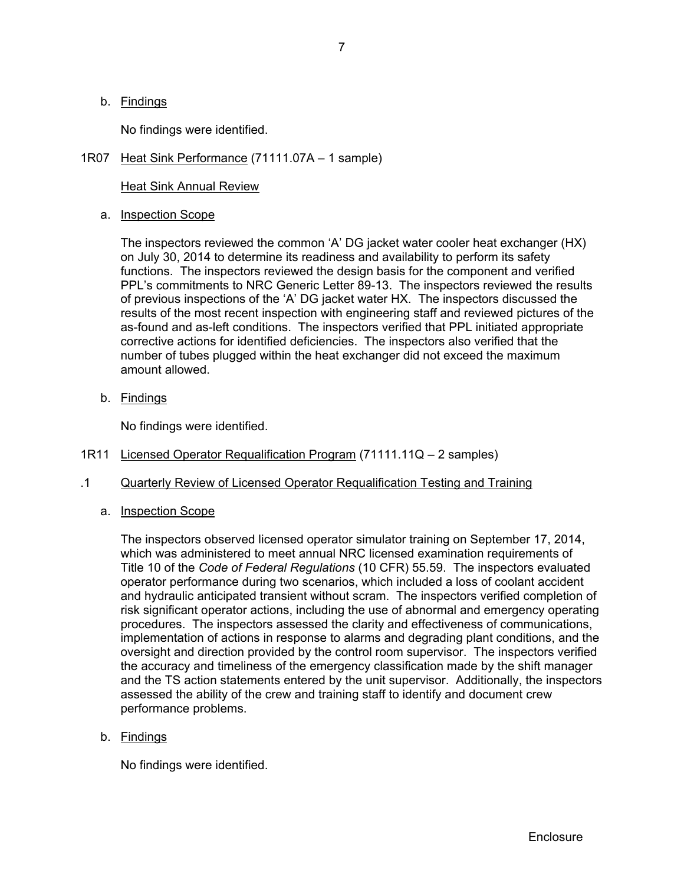b. Findings

No findings were identified.

1R07 Heat Sink Performance (71111.07A – 1 sample)

Heat Sink Annual Review

a. **Inspection Scope** 

The inspectors reviewed the common 'A' DG jacket water cooler heat exchanger (HX) on July 30, 2014 to determine its readiness and availability to perform its safety functions. The inspectors reviewed the design basis for the component and verified PPL's commitments to NRC Generic Letter 89-13. The inspectors reviewed the results of previous inspections of the 'A' DG jacket water HX. The inspectors discussed the results of the most recent inspection with engineering staff and reviewed pictures of the as-found and as-left conditions. The inspectors verified that PPL initiated appropriate corrective actions for identified deficiencies. The inspectors also verified that the number of tubes plugged within the heat exchanger did not exceed the maximum amount allowed.

b. Findings

No findings were identified.

- 1R11 Licensed Operator Requalification Program (71111.11Q 2 samples)
- .1 Quarterly Review of Licensed Operator Requalification Testing and Training
	- a. Inspection Scope

The inspectors observed licensed operator simulator training on September 17, 2014, which was administered to meet annual NRC licensed examination requirements of Title 10 of the *Code of Federal Regulations* (10 CFR) 55.59. The inspectors evaluated operator performance during two scenarios, which included a loss of coolant accident and hydraulic anticipated transient without scram. The inspectors verified completion of risk significant operator actions, including the use of abnormal and emergency operating procedures. The inspectors assessed the clarity and effectiveness of communications, implementation of actions in response to alarms and degrading plant conditions, and the oversight and direction provided by the control room supervisor. The inspectors verified the accuracy and timeliness of the emergency classification made by the shift manager and the TS action statements entered by the unit supervisor. Additionally, the inspectors assessed the ability of the crew and training staff to identify and document crew performance problems.

b. Findings

No findings were identified.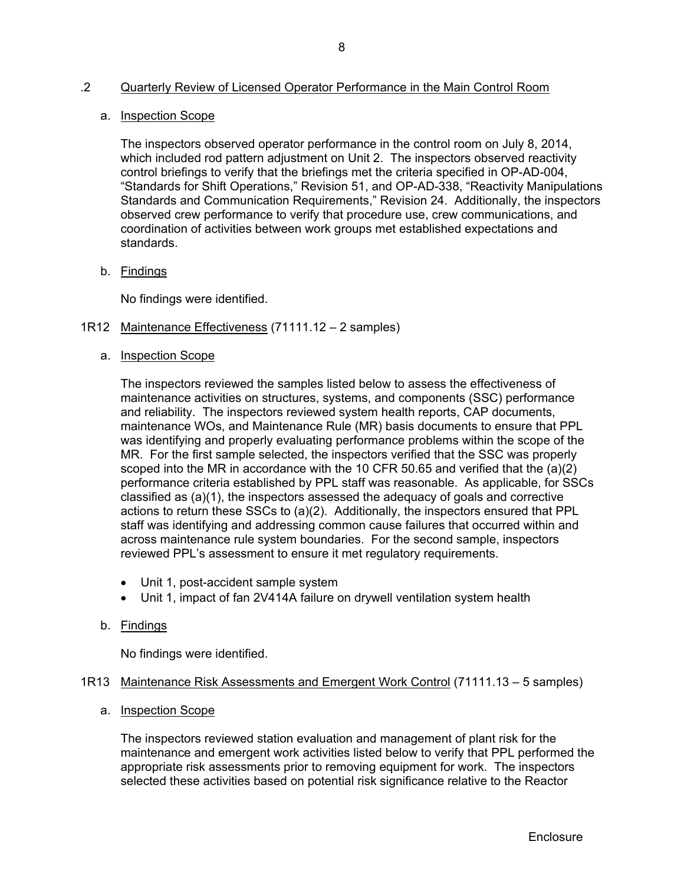## .2 Quarterly Review of Licensed Operator Performance in the Main Control Room

## a. Inspection Scope

The inspectors observed operator performance in the control room on July 8, 2014, which included rod pattern adjustment on Unit 2. The inspectors observed reactivity control briefings to verify that the briefings met the criteria specified in OP-AD-004, "Standards for Shift Operations," Revision 51, and OP-AD-338, "Reactivity Manipulations Standards and Communication Requirements," Revision 24. Additionally, the inspectors observed crew performance to verify that procedure use, crew communications, and coordination of activities between work groups met established expectations and standards.

## b. Findings

No findings were identified.

## 1R12 Maintenance Effectiveness (71111.12 – 2 samples)

## a. Inspection Scope

The inspectors reviewed the samples listed below to assess the effectiveness of maintenance activities on structures, systems, and components (SSC) performance and reliability. The inspectors reviewed system health reports, CAP documents, maintenance WOs, and Maintenance Rule (MR) basis documents to ensure that PPL was identifying and properly evaluating performance problems within the scope of the MR. For the first sample selected, the inspectors verified that the SSC was properly scoped into the MR in accordance with the 10 CFR 50.65 and verified that the (a)(2) performance criteria established by PPL staff was reasonable. As applicable, for SSCs classified as (a)(1), the inspectors assessed the adequacy of goals and corrective actions to return these SSCs to (a)(2). Additionally, the inspectors ensured that PPL staff was identifying and addressing common cause failures that occurred within and across maintenance rule system boundaries. For the second sample, inspectors reviewed PPL's assessment to ensure it met regulatory requirements.

- Unit 1, post-accident sample system
- Unit 1, impact of fan 2V414A failure on drywell ventilation system health

## b. Findings

No findings were identified.

## 1R13 Maintenance Risk Assessments and Emergent Work Control (71111.13 – 5 samples)

## a. Inspection Scope

The inspectors reviewed station evaluation and management of plant risk for the maintenance and emergent work activities listed below to verify that PPL performed the appropriate risk assessments prior to removing equipment for work. The inspectors selected these activities based on potential risk significance relative to the Reactor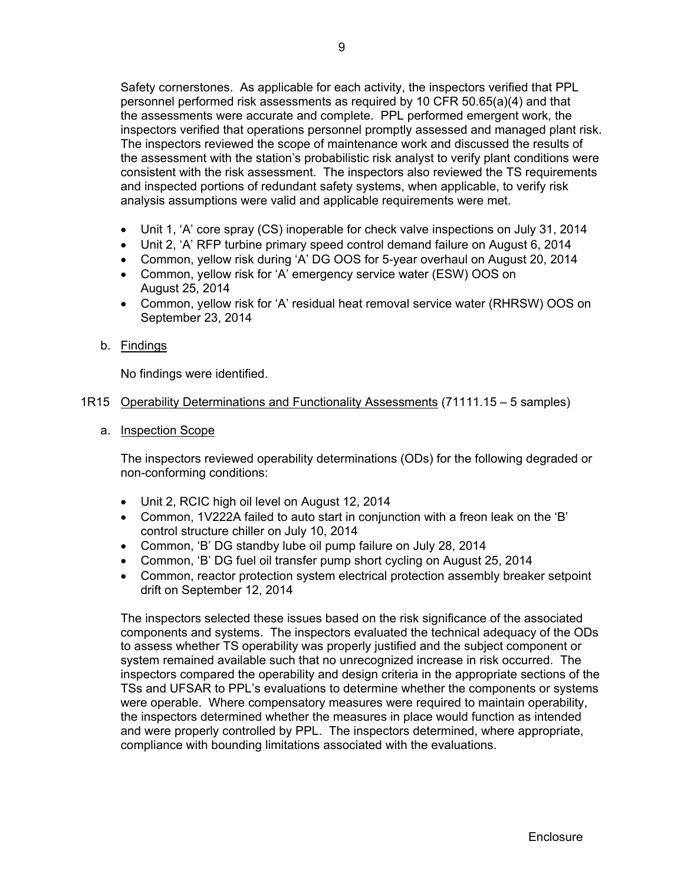Safety cornerstones. As applicable for each activity, the inspectors verified that PPL personnel performed risk assessments as required by 10 CFR 50.65(a)(4) and that the assessments were accurate and complete. PPL performed emergent work, the inspectors verified that operations personnel promptly assessed and managed plant risk. The inspectors reviewed the scope of maintenance work and discussed the results of the assessment with the station's probabilistic risk analyst to verify plant conditions were consistent with the risk assessment. The inspectors also reviewed the TS requirements and inspected portions of redundant safety systems, when applicable, to verify risk analysis assumptions were valid and applicable requirements were met.

- Unit 1, 'A' core spray (CS) inoperable for check valve inspections on July 31, 2014
- Unit 2, 'A' RFP turbine primary speed control demand failure on August 6, 2014
- Common, yellow risk during 'A' DG OOS for 5-year overhaul on August 20, 2014
- Common, yellow risk for 'A' emergency service water (ESW) OOS on August 25, 2014
- Common, yellow risk for 'A' residual heat removal service water (RHRSW) OOS on September 23, 2014

## b. Findings

No findings were identified.

## 1R15 Operability Determinations and Functionality Assessments (71111.15 – 5 samples)

a. Inspection Scope

The inspectors reviewed operability determinations (ODs) for the following degraded or non-conforming conditions:

- Unit 2, RCIC high oil level on August 12, 2014
- Common, 1V222A failed to auto start in conjunction with a freon leak on the 'B' control structure chiller on July 10, 2014
- Common, 'B' DG standby lube oil pump failure on July 28, 2014
- Common, 'B' DG fuel oil transfer pump short cycling on August 25, 2014
- Common, reactor protection system electrical protection assembly breaker setpoint drift on September 12, 2014

The inspectors selected these issues based on the risk significance of the associated components and systems. The inspectors evaluated the technical adequacy of the ODs to assess whether TS operability was properly justified and the subject component or system remained available such that no unrecognized increase in risk occurred. The inspectors compared the operability and design criteria in the appropriate sections of the TSs and UFSAR to PPL's evaluations to determine whether the components or systems were operable. Where compensatory measures were required to maintain operability, the inspectors determined whether the measures in place would function as intended and were properly controlled by PPL. The inspectors determined, where appropriate, compliance with bounding limitations associated with the evaluations.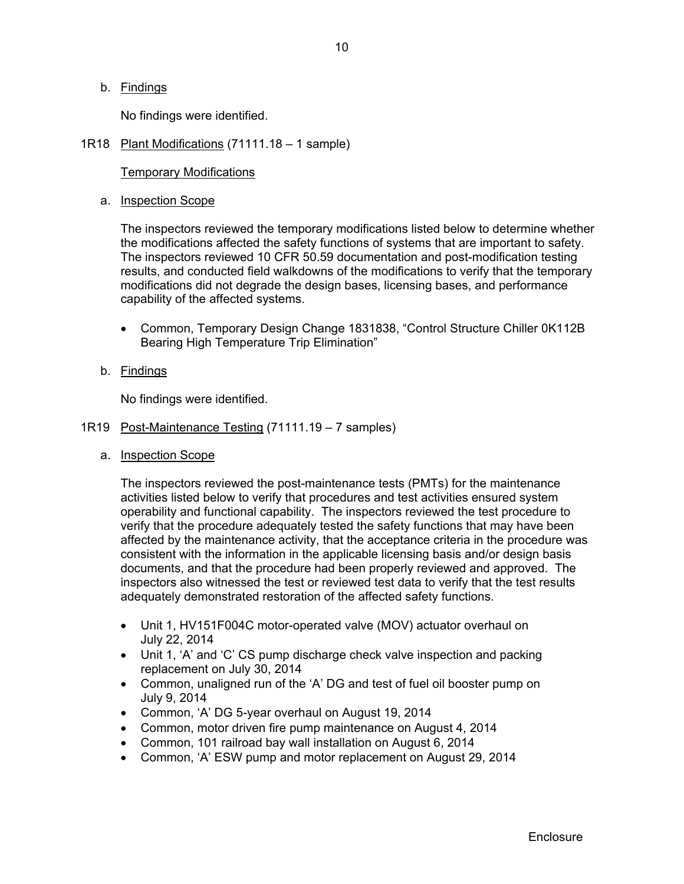## b. Findings

No findings were identified.

## 1R18 Plant Modifications (71111.18 – 1 sample)

## Temporary Modifications

## a. Inspection Scope

The inspectors reviewed the temporary modifications listed below to determine whether the modifications affected the safety functions of systems that are important to safety. The inspectors reviewed 10 CFR 50.59 documentation and post-modification testing results, and conducted field walkdowns of the modifications to verify that the temporary modifications did not degrade the design bases, licensing bases, and performance capability of the affected systems.

- Common, Temporary Design Change 1831838, "Control Structure Chiller 0K112B Bearing High Temperature Trip Elimination"
- b. Findings

No findings were identified.

- 1R19 Post-Maintenance Testing (71111.19 7 samples)
	- a. Inspection Scope

The inspectors reviewed the post-maintenance tests (PMTs) for the maintenance activities listed below to verify that procedures and test activities ensured system operability and functional capability. The inspectors reviewed the test procedure to verify that the procedure adequately tested the safety functions that may have been affected by the maintenance activity, that the acceptance criteria in the procedure was consistent with the information in the applicable licensing basis and/or design basis documents, and that the procedure had been properly reviewed and approved. The inspectors also witnessed the test or reviewed test data to verify that the test results adequately demonstrated restoration of the affected safety functions.

- Unit 1, HV151F004C motor-operated valve (MOV) actuator overhaul on July 22, 2014
- Unit 1, 'A' and 'C' CS pump discharge check valve inspection and packing replacement on July 30, 2014
- Common, unaligned run of the 'A' DG and test of fuel oil booster pump on July 9, 2014
- Common, 'A' DG 5-year overhaul on August 19, 2014
- Common, motor driven fire pump maintenance on August 4, 2014
- Common, 101 railroad bay wall installation on August 6, 2014
- Common, 'A' ESW pump and motor replacement on August 29, 2014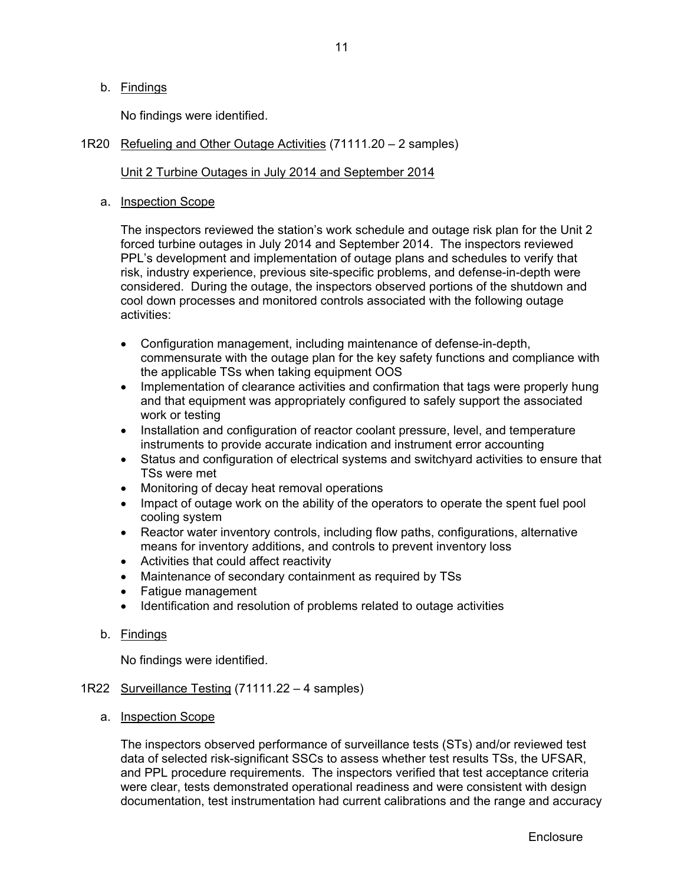## b. Findings

No findings were identified.

## 1R20 Refueling and Other Outage Activities (71111.20 – 2 samples)

## Unit 2 Turbine Outages in July 2014 and September 2014

## a. Inspection Scope

The inspectors reviewed the station's work schedule and outage risk plan for the Unit 2 forced turbine outages in July 2014 and September 2014. The inspectors reviewed PPL's development and implementation of outage plans and schedules to verify that risk, industry experience, previous site-specific problems, and defense-in-depth were considered. During the outage, the inspectors observed portions of the shutdown and cool down processes and monitored controls associated with the following outage activities:

- Configuration management, including maintenance of defense-in-depth, commensurate with the outage plan for the key safety functions and compliance with the applicable TSs when taking equipment OOS
- Implementation of clearance activities and confirmation that tags were properly hung and that equipment was appropriately configured to safely support the associated work or testing
- Installation and configuration of reactor coolant pressure, level, and temperature instruments to provide accurate indication and instrument error accounting
- Status and configuration of electrical systems and switchyard activities to ensure that TSs were met
- Monitoring of decay heat removal operations
- Impact of outage work on the ability of the operators to operate the spent fuel pool cooling system
- Reactor water inventory controls, including flow paths, configurations, alternative means for inventory additions, and controls to prevent inventory loss
- Activities that could affect reactivity
- Maintenance of secondary containment as required by TSs
- Fatique management
- Identification and resolution of problems related to outage activities
- b. Findings

No findings were identified.

- 1R22 Surveillance Testing (71111.22 4 samples)
	- a. Inspection Scope

The inspectors observed performance of surveillance tests (STs) and/or reviewed test data of selected risk-significant SSCs to assess whether test results TSs, the UFSAR, and PPL procedure requirements. The inspectors verified that test acceptance criteria were clear, tests demonstrated operational readiness and were consistent with design documentation, test instrumentation had current calibrations and the range and accuracy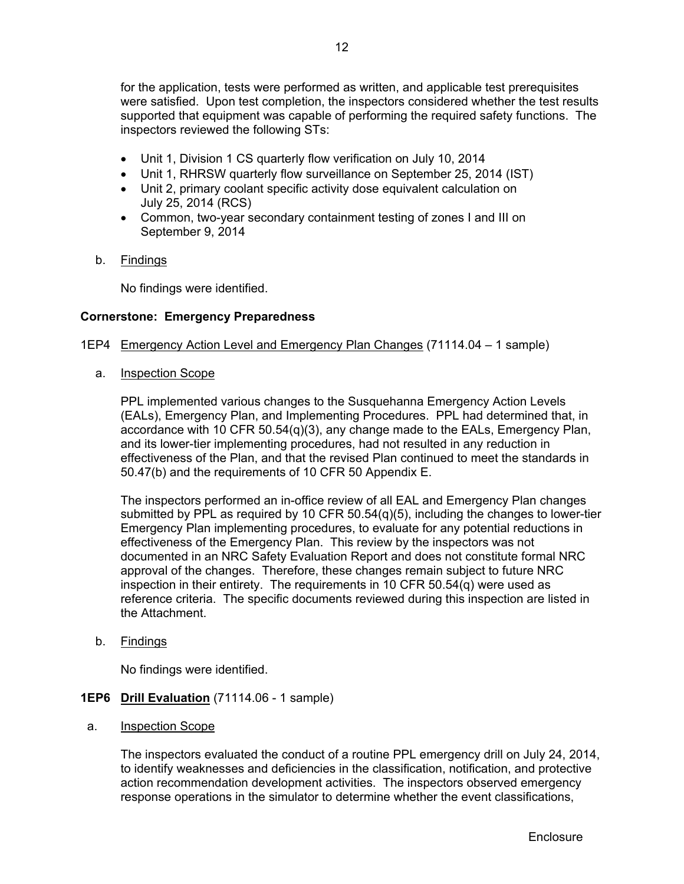for the application, tests were performed as written, and applicable test prerequisites were satisfied. Upon test completion, the inspectors considered whether the test results supported that equipment was capable of performing the required safety functions. The inspectors reviewed the following STs:

- Unit 1, Division 1 CS quarterly flow verification on July 10, 2014
- Unit 1, RHRSW quarterly flow surveillance on September 25, 2014 (IST)
- Unit 2, primary coolant specific activity dose equivalent calculation on July 25, 2014 (RCS)
- Common, two-year secondary containment testing of zones I and III on September 9, 2014
- b. Findings

No findings were identified.

## **Cornerstone: Emergency Preparedness**

- 1EP4 Emergency Action Level and Emergency Plan Changes (71114.04 1 sample)
	- a. Inspection Scope

PPL implemented various changes to the Susquehanna Emergency Action Levels (EALs), Emergency Plan, and Implementing Procedures. PPL had determined that, in accordance with 10 CFR 50.54(q)(3), any change made to the EALs, Emergency Plan, and its lower-tier implementing procedures, had not resulted in any reduction in effectiveness of the Plan, and that the revised Plan continued to meet the standards in 50.47(b) and the requirements of 10 CFR 50 Appendix E.

The inspectors performed an in-office review of all EAL and Emergency Plan changes submitted by PPL as required by 10 CFR  $50.54(q)(5)$ , including the changes to lower-tier Emergency Plan implementing procedures, to evaluate for any potential reductions in effectiveness of the Emergency Plan. This review by the inspectors was not documented in an NRC Safety Evaluation Report and does not constitute formal NRC approval of the changes. Therefore, these changes remain subject to future NRC inspection in their entirety. The requirements in 10 CFR 50.54(q) were used as reference criteria. The specific documents reviewed during this inspection are listed in the Attachment.

b. Findings

No findings were identified.

## **1EP6 Drill Evaluation** (71114.06 - 1 sample)

a. Inspection Scope

The inspectors evaluated the conduct of a routine PPL emergency drill on July 24, 2014, to identify weaknesses and deficiencies in the classification, notification, and protective action recommendation development activities. The inspectors observed emergency response operations in the simulator to determine whether the event classifications,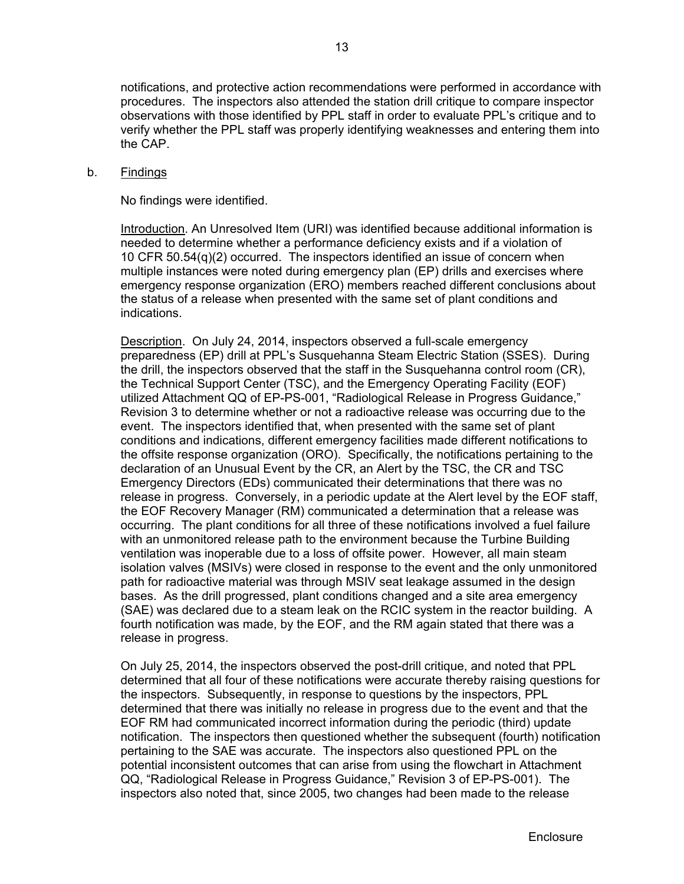notifications, and protective action recommendations were performed in accordance with procedures. The inspectors also attended the station drill critique to compare inspector observations with those identified by PPL staff in order to evaluate PPL's critique and to verify whether the PPL staff was properly identifying weaknesses and entering them into the CAP.

## b. Findings

No findings were identified.

Introduction. An Unresolved Item (URI) was identified because additional information is needed to determine whether a performance deficiency exists and if a violation of 10 CFR 50.54(q)(2) occurred. The inspectors identified an issue of concern when multiple instances were noted during emergency plan (EP) drills and exercises where emergency response organization (ERO) members reached different conclusions about the status of a release when presented with the same set of plant conditions and indications.

Description. On July 24, 2014, inspectors observed a full-scale emergency preparedness (EP) drill at PPL's Susquehanna Steam Electric Station (SSES). During the drill, the inspectors observed that the staff in the Susquehanna control room (CR), the Technical Support Center (TSC), and the Emergency Operating Facility (EOF) utilized Attachment QQ of EP-PS-001, "Radiological Release in Progress Guidance," Revision 3 to determine whether or not a radioactive release was occurring due to the event. The inspectors identified that, when presented with the same set of plant conditions and indications, different emergency facilities made different notifications to the offsite response organization (ORO). Specifically, the notifications pertaining to the declaration of an Unusual Event by the CR, an Alert by the TSC, the CR and TSC Emergency Directors (EDs) communicated their determinations that there was no release in progress. Conversely, in a periodic update at the Alert level by the EOF staff, the EOF Recovery Manager (RM) communicated a determination that a release was occurring. The plant conditions for all three of these notifications involved a fuel failure with an unmonitored release path to the environment because the Turbine Building ventilation was inoperable due to a loss of offsite power. However, all main steam isolation valves (MSIVs) were closed in response to the event and the only unmonitored path for radioactive material was through MSIV seat leakage assumed in the design bases. As the drill progressed, plant conditions changed and a site area emergency (SAE) was declared due to a steam leak on the RCIC system in the reactor building. A fourth notification was made, by the EOF, and the RM again stated that there was a release in progress.

On July 25, 2014, the inspectors observed the post-drill critique, and noted that PPL determined that all four of these notifications were accurate thereby raising questions for the inspectors. Subsequently, in response to questions by the inspectors, PPL determined that there was initially no release in progress due to the event and that the EOF RM had communicated incorrect information during the periodic (third) update notification. The inspectors then questioned whether the subsequent (fourth) notification pertaining to the SAE was accurate. The inspectors also questioned PPL on the potential inconsistent outcomes that can arise from using the flowchart in Attachment QQ, "Radiological Release in Progress Guidance," Revision 3 of EP-PS-001). The inspectors also noted that, since 2005, two changes had been made to the release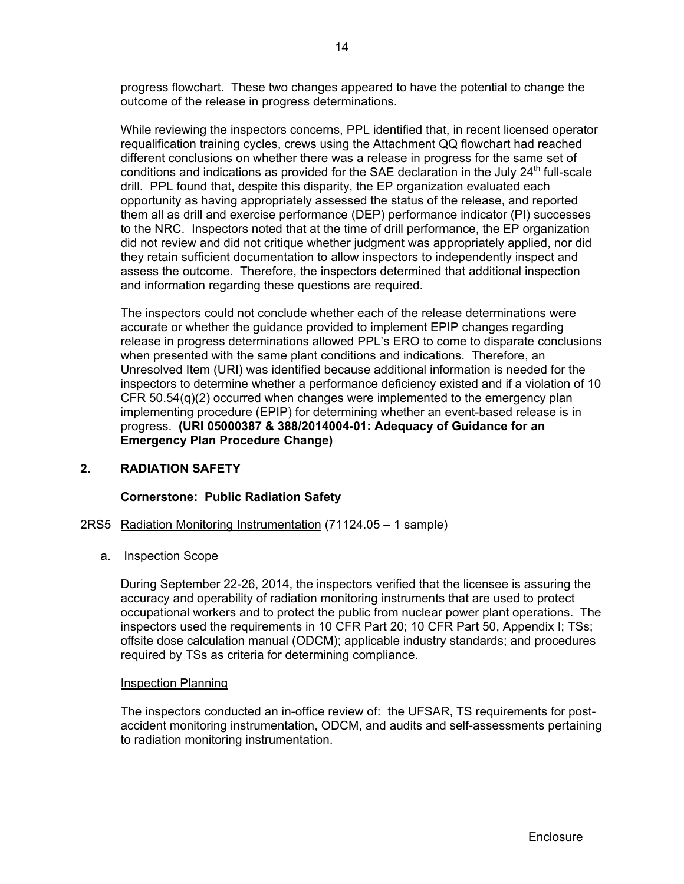progress flowchart. These two changes appeared to have the potential to change the outcome of the release in progress determinations.

While reviewing the inspectors concerns, PPL identified that, in recent licensed operator requalification training cycles, crews using the Attachment QQ flowchart had reached different conclusions on whether there was a release in progress for the same set of conditions and indications as provided for the SAE declaration in the July  $24<sup>th</sup>$  full-scale drill. PPL found that, despite this disparity, the EP organization evaluated each opportunity as having appropriately assessed the status of the release, and reported them all as drill and exercise performance (DEP) performance indicator (PI) successes to the NRC. Inspectors noted that at the time of drill performance, the EP organization did not review and did not critique whether judgment was appropriately applied, nor did they retain sufficient documentation to allow inspectors to independently inspect and assess the outcome. Therefore, the inspectors determined that additional inspection and information regarding these questions are required.

The inspectors could not conclude whether each of the release determinations were accurate or whether the guidance provided to implement EPIP changes regarding release in progress determinations allowed PPL's ERO to come to disparate conclusions when presented with the same plant conditions and indications. Therefore, an Unresolved Item (URI) was identified because additional information is needed for the inspectors to determine whether a performance deficiency existed and if a violation of 10 CFR  $50.54(q)(2)$  occurred when changes were implemented to the emergency plan implementing procedure (EPIP) for determining whether an event-based release is in progress. **(URI 05000387 & 388/2014004-01: Adequacy of Guidance for an Emergency Plan Procedure Change)**

## **2. RADIATION SAFETY**

## **Cornerstone: Public Radiation Safety**

## 2RS5 Radiation Monitoring Instrumentation (71124.05 – 1 sample)

## a. Inspection Scope

During September 22-26, 2014, the inspectors verified that the licensee is assuring the accuracy and operability of radiation monitoring instruments that are used to protect occupational workers and to protect the public from nuclear power plant operations. The inspectors used the requirements in 10 CFR Part 20; 10 CFR Part 50, Appendix I; TSs; offsite dose calculation manual (ODCM); applicable industry standards; and procedures required by TSs as criteria for determining compliance.

## Inspection Planning

The inspectors conducted an in-office review of: the UFSAR, TS requirements for postaccident monitoring instrumentation, ODCM, and audits and self-assessments pertaining to radiation monitoring instrumentation.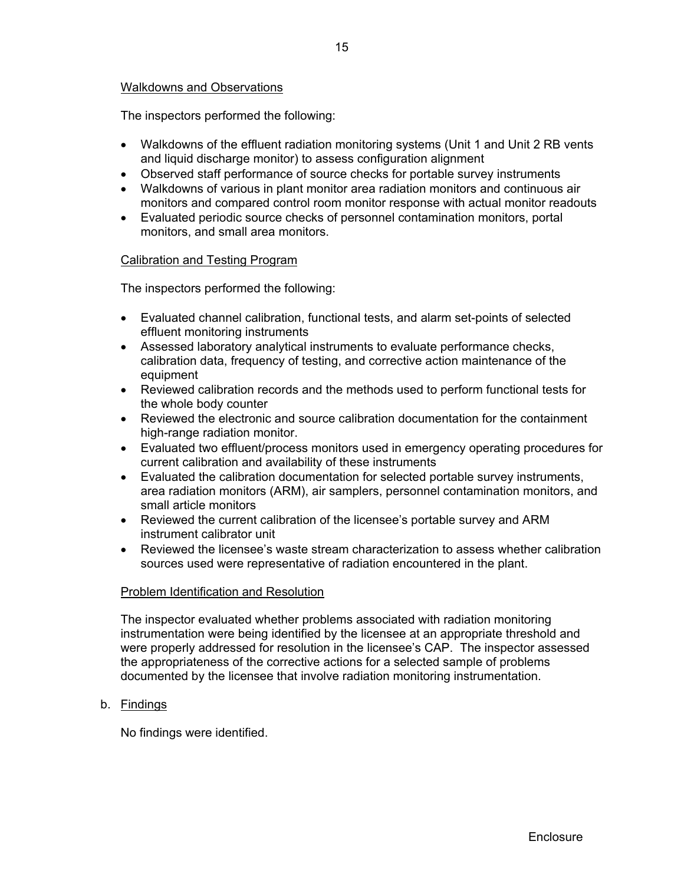## Walkdowns and Observations

The inspectors performed the following:

- Walkdowns of the effluent radiation monitoring systems (Unit 1 and Unit 2 RB vents and liquid discharge monitor) to assess configuration alignment
- Observed staff performance of source checks for portable survey instruments
- Walkdowns of various in plant monitor area radiation monitors and continuous air monitors and compared control room monitor response with actual monitor readouts
- Evaluated periodic source checks of personnel contamination monitors, portal monitors, and small area monitors.

## Calibration and Testing Program

The inspectors performed the following:

- Evaluated channel calibration, functional tests, and alarm set-points of selected effluent monitoring instruments
- Assessed laboratory analytical instruments to evaluate performance checks, calibration data, frequency of testing, and corrective action maintenance of the equipment
- Reviewed calibration records and the methods used to perform functional tests for the whole body counter
- Reviewed the electronic and source calibration documentation for the containment high-range radiation monitor.
- Evaluated two effluent/process monitors used in emergency operating procedures for current calibration and availability of these instruments
- Evaluated the calibration documentation for selected portable survey instruments, area radiation monitors (ARM), air samplers, personnel contamination monitors, and small article monitors
- Reviewed the current calibration of the licensee's portable survey and ARM instrument calibrator unit
- Reviewed the licensee's waste stream characterization to assess whether calibration sources used were representative of radiation encountered in the plant.

## Problem Identification and Resolution

The inspector evaluated whether problems associated with radiation monitoring instrumentation were being identified by the licensee at an appropriate threshold and were properly addressed for resolution in the licensee's CAP. The inspector assessed the appropriateness of the corrective actions for a selected sample of problems documented by the licensee that involve radiation monitoring instrumentation.

b. Findings

No findings were identified.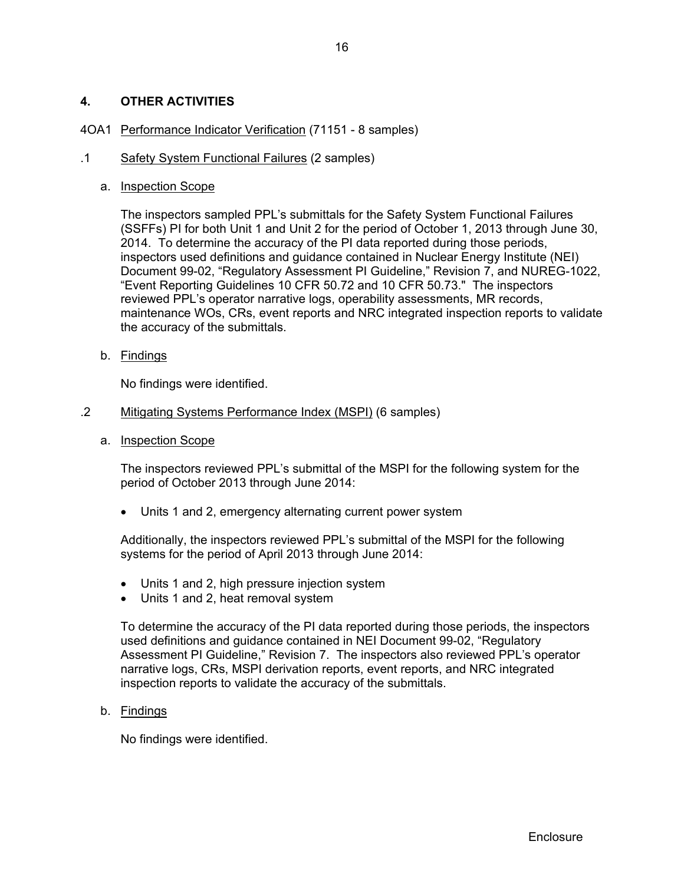## **4. OTHER ACTIVITIES**

## 4OA1 Performance Indicator Verification (71151 - 8 samples)

## .1 Safety System Functional Failures (2 samples)

### a. Inspection Scope

The inspectors sampled PPL's submittals for the Safety System Functional Failures (SSFFs) PI for both Unit 1 and Unit 2 for the period of October 1, 2013 through June 30, 2014. To determine the accuracy of the PI data reported during those periods, inspectors used definitions and guidance contained in Nuclear Energy Institute (NEI) Document 99-02, "Regulatory Assessment PI Guideline," Revision 7, and NUREG-1022, "Event Reporting Guidelines 10 CFR 50.72 and 10 CFR 50.73." The inspectors reviewed PPL's operator narrative logs, operability assessments, MR records, maintenance WOs, CRs, event reports and NRC integrated inspection reports to validate the accuracy of the submittals.

b. Findings

No findings were identified.

- .2 Mitigating Systems Performance Index (MSPI) (6 samples)
	- a. Inspection Scope

 The inspectors reviewed PPL's submittal of the MSPI for the following system for the period of October 2013 through June 2014:

Units 1 and 2, emergency alternating current power system

Additionally, the inspectors reviewed PPL's submittal of the MSPI for the following systems for the period of April 2013 through June 2014:

- Units 1 and 2, high pressure injection system
- Units 1 and 2, heat removal system

To determine the accuracy of the PI data reported during those periods, the inspectors used definitions and guidance contained in NEI Document 99-02, "Regulatory Assessment PI Guideline," Revision 7. The inspectors also reviewed PPL's operator narrative logs, CRs, MSPI derivation reports, event reports, and NRC integrated inspection reports to validate the accuracy of the submittals.

b. Findings

No findings were identified.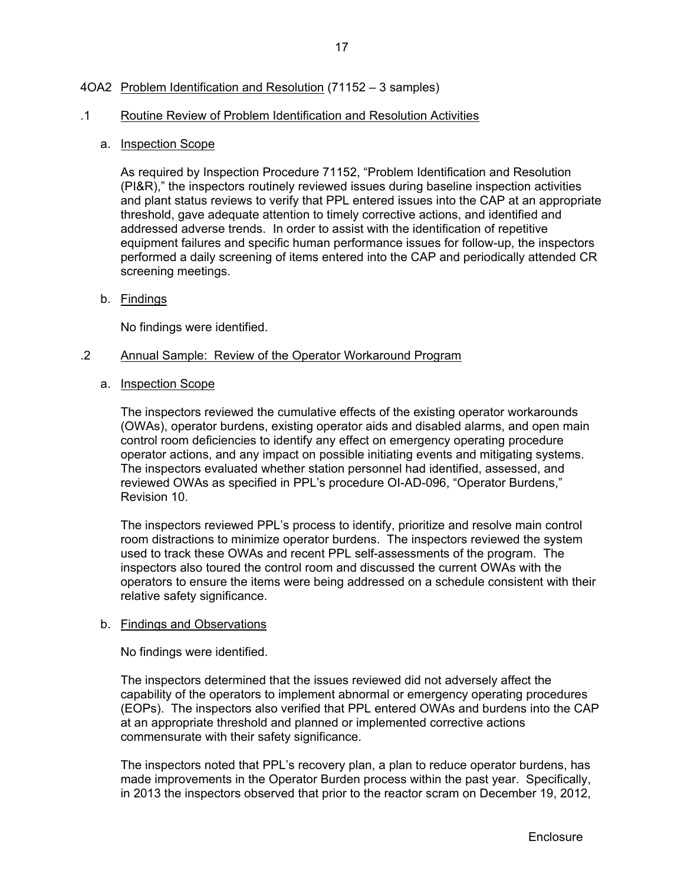## 4OA2 Problem Identification and Resolution (71152 – 3 samples)

### .1 Routine Review of Problem Identification and Resolution Activities

#### a. Inspection Scope

As required by Inspection Procedure 71152, "Problem Identification and Resolution (PI&R)," the inspectors routinely reviewed issues during baseline inspection activities and plant status reviews to verify that PPL entered issues into the CAP at an appropriate threshold, gave adequate attention to timely corrective actions, and identified and addressed adverse trends. In order to assist with the identification of repetitive equipment failures and specific human performance issues for follow-up, the inspectors performed a daily screening of items entered into the CAP and periodically attended CR screening meetings.

b. Findings

No findings were identified.

#### .2 Annual Sample: Review of the Operator Workaround Program

a. Inspection Scope

The inspectors reviewed the cumulative effects of the existing operator workarounds (OWAs), operator burdens, existing operator aids and disabled alarms, and open main control room deficiencies to identify any effect on emergency operating procedure operator actions, and any impact on possible initiating events and mitigating systems. The inspectors evaluated whether station personnel had identified, assessed, and reviewed OWAs as specified in PPL's procedure OI-AD-096, "Operator Burdens," Revision 10.

The inspectors reviewed PPL's process to identify, prioritize and resolve main control room distractions to minimize operator burdens. The inspectors reviewed the system used to track these OWAs and recent PPL self-assessments of the program. The inspectors also toured the control room and discussed the current OWAs with the operators to ensure the items were being addressed on a schedule consistent with their relative safety significance.

#### b. Findings and Observations

No findings were identified.

The inspectors determined that the issues reviewed did not adversely affect the capability of the operators to implement abnormal or emergency operating procedures (EOPs). The inspectors also verified that PPL entered OWAs and burdens into the CAP at an appropriate threshold and planned or implemented corrective actions commensurate with their safety significance.

The inspectors noted that PPL's recovery plan, a plan to reduce operator burdens, has made improvements in the Operator Burden process within the past year. Specifically, in 2013 the inspectors observed that prior to the reactor scram on December 19, 2012,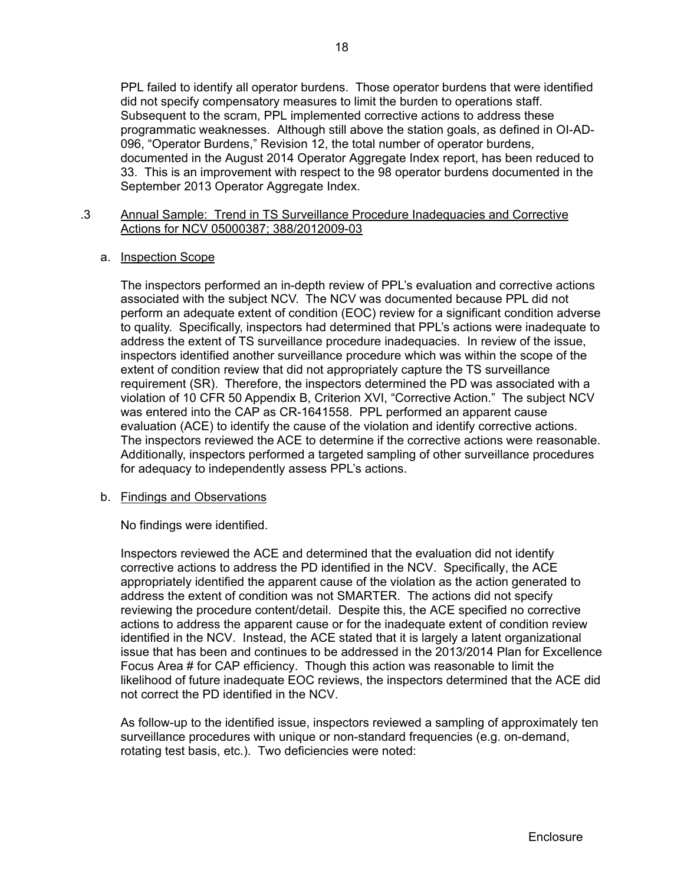PPL failed to identify all operator burdens. Those operator burdens that were identified did not specify compensatory measures to limit the burden to operations staff. Subsequent to the scram, PPL implemented corrective actions to address these programmatic weaknesses. Although still above the station goals, as defined in OI-AD-096, "Operator Burdens," Revision 12, the total number of operator burdens, documented in the August 2014 Operator Aggregate Index report, has been reduced to 33. This is an improvement with respect to the 98 operator burdens documented in the September 2013 Operator Aggregate Index.

## .3 Annual Sample: Trend in TS Surveillance Procedure Inadequacies and Corrective Actions for NCV 05000387; 388/2012009-03

## a. Inspection Scope

The inspectors performed an in-depth review of PPL's evaluation and corrective actions associated with the subject NCV. The NCV was documented because PPL did not perform an adequate extent of condition (EOC) review for a significant condition adverse to quality. Specifically, inspectors had determined that PPL's actions were inadequate to address the extent of TS surveillance procedure inadequacies. In review of the issue, inspectors identified another surveillance procedure which was within the scope of the extent of condition review that did not appropriately capture the TS surveillance requirement (SR). Therefore, the inspectors determined the PD was associated with a violation of 10 CFR 50 Appendix B, Criterion XVI, "Corrective Action." The subject NCV was entered into the CAP as CR-1641558. PPL performed an apparent cause evaluation (ACE) to identify the cause of the violation and identify corrective actions. The inspectors reviewed the ACE to determine if the corrective actions were reasonable. Additionally, inspectors performed a targeted sampling of other surveillance procedures for adequacy to independently assess PPL's actions.

## b. Findings and Observations

No findings were identified.

Inspectors reviewed the ACE and determined that the evaluation did not identify corrective actions to address the PD identified in the NCV. Specifically, the ACE appropriately identified the apparent cause of the violation as the action generated to address the extent of condition was not SMARTER. The actions did not specify reviewing the procedure content/detail. Despite this, the ACE specified no corrective actions to address the apparent cause or for the inadequate extent of condition review identified in the NCV. Instead, the ACE stated that it is largely a latent organizational issue that has been and continues to be addressed in the 2013/2014 Plan for Excellence Focus Area # for CAP efficiency. Though this action was reasonable to limit the likelihood of future inadequate EOC reviews, the inspectors determined that the ACE did not correct the PD identified in the NCV.

As follow-up to the identified issue, inspectors reviewed a sampling of approximately ten surveillance procedures with unique or non-standard frequencies (e.g. on-demand, rotating test basis, etc.). Two deficiencies were noted: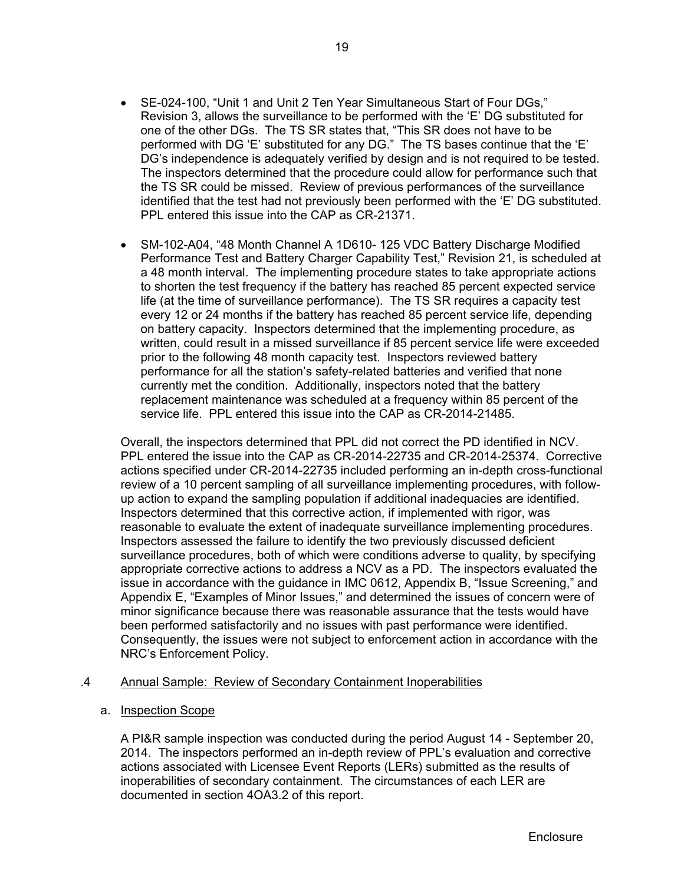- SE-024-100, "Unit 1 and Unit 2 Ten Year Simultaneous Start of Four DGs," Revision 3, allows the surveillance to be performed with the 'E' DG substituted for one of the other DGs. The TS SR states that, "This SR does not have to be performed with DG 'E' substituted for any DG." The TS bases continue that the 'E' DG's independence is adequately verified by design and is not required to be tested. The inspectors determined that the procedure could allow for performance such that the TS SR could be missed. Review of previous performances of the surveillance identified that the test had not previously been performed with the 'E' DG substituted. PPL entered this issue into the CAP as CR-21371.
- SM-102-A04, "48 Month Channel A 1D610-125 VDC Battery Discharge Modified Performance Test and Battery Charger Capability Test," Revision 21, is scheduled at a 48 month interval. The implementing procedure states to take appropriate actions to shorten the test frequency if the battery has reached 85 percent expected service life (at the time of surveillance performance). The TS SR requires a capacity test every 12 or 24 months if the battery has reached 85 percent service life, depending on battery capacity. Inspectors determined that the implementing procedure, as written, could result in a missed surveillance if 85 percent service life were exceeded prior to the following 48 month capacity test. Inspectors reviewed battery performance for all the station's safety-related batteries and verified that none currently met the condition. Additionally, inspectors noted that the battery replacement maintenance was scheduled at a frequency within 85 percent of the service life. PPL entered this issue into the CAP as CR-2014-21485.

Overall, the inspectors determined that PPL did not correct the PD identified in NCV. PPL entered the issue into the CAP as CR-2014-22735 and CR-2014-25374. Corrective actions specified under CR-2014-22735 included performing an in-depth cross-functional review of a 10 percent sampling of all surveillance implementing procedures, with followup action to expand the sampling population if additional inadequacies are identified. Inspectors determined that this corrective action, if implemented with rigor, was reasonable to evaluate the extent of inadequate surveillance implementing procedures. Inspectors assessed the failure to identify the two previously discussed deficient surveillance procedures, both of which were conditions adverse to quality, by specifying appropriate corrective actions to address a NCV as a PD. The inspectors evaluated the issue in accordance with the guidance in IMC 0612, Appendix B, "Issue Screening," and Appendix E, "Examples of Minor Issues," and determined the issues of concern were of minor significance because there was reasonable assurance that the tests would have been performed satisfactorily and no issues with past performance were identified. Consequently, the issues were not subject to enforcement action in accordance with the NRC's Enforcement Policy.

## .4 Annual Sample: Review of Secondary Containment Inoperabilities

#### a. Inspection Scope

A PI&R sample inspection was conducted during the period August 14 - September 20, 2014. The inspectors performed an in-depth review of PPL's evaluation and corrective actions associated with Licensee Event Reports (LERs) submitted as the results of inoperabilities of secondary containment. The circumstances of each LER are documented in section 4OA3.2 of this report.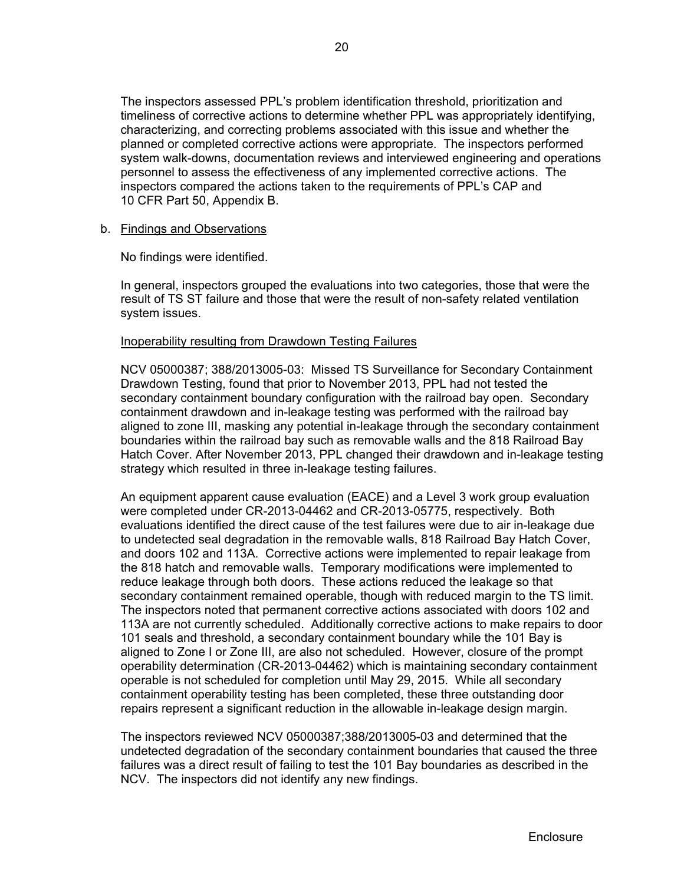The inspectors assessed PPL's problem identification threshold, prioritization and timeliness of corrective actions to determine whether PPL was appropriately identifying, characterizing, and correcting problems associated with this issue and whether the planned or completed corrective actions were appropriate. The inspectors performed system walk-downs, documentation reviews and interviewed engineering and operations personnel to assess the effectiveness of any implemented corrective actions. The inspectors compared the actions taken to the requirements of PPL's CAP and 10 CFR Part 50, Appendix B.

#### b. Findings and Observations

No findings were identified.

 In general, inspectors grouped the evaluations into two categories, those that were the result of TS ST failure and those that were the result of non-safety related ventilation system issues.

#### Inoperability resulting from Drawdown Testing Failures

NCV 05000387; 388/2013005-03: Missed TS Surveillance for Secondary Containment Drawdown Testing, found that prior to November 2013, PPL had not tested the secondary containment boundary configuration with the railroad bay open. Secondary containment drawdown and in-leakage testing was performed with the railroad bay aligned to zone III, masking any potential in-leakage through the secondary containment boundaries within the railroad bay such as removable walls and the 818 Railroad Bay Hatch Cover. After November 2013, PPL changed their drawdown and in-leakage testing strategy which resulted in three in-leakage testing failures.

An equipment apparent cause evaluation (EACE) and a Level 3 work group evaluation were completed under CR-2013-04462 and CR-2013-05775, respectively. Both evaluations identified the direct cause of the test failures were due to air in-leakage due to undetected seal degradation in the removable walls, 818 Railroad Bay Hatch Cover, and doors 102 and 113A. Corrective actions were implemented to repair leakage from the 818 hatch and removable walls. Temporary modifications were implemented to reduce leakage through both doors. These actions reduced the leakage so that secondary containment remained operable, though with reduced margin to the TS limit. The inspectors noted that permanent corrective actions associated with doors 102 and 113A are not currently scheduled. Additionally corrective actions to make repairs to door 101 seals and threshold, a secondary containment boundary while the 101 Bay is aligned to Zone I or Zone III, are also not scheduled. However, closure of the prompt operability determination (CR-2013-04462) which is maintaining secondary containment operable is not scheduled for completion until May 29, 2015. While all secondary containment operability testing has been completed, these three outstanding door repairs represent a significant reduction in the allowable in-leakage design margin.

The inspectors reviewed NCV 05000387;388/2013005-03 and determined that the undetected degradation of the secondary containment boundaries that caused the three failures was a direct result of failing to test the 101 Bay boundaries as described in the NCV. The inspectors did not identify any new findings.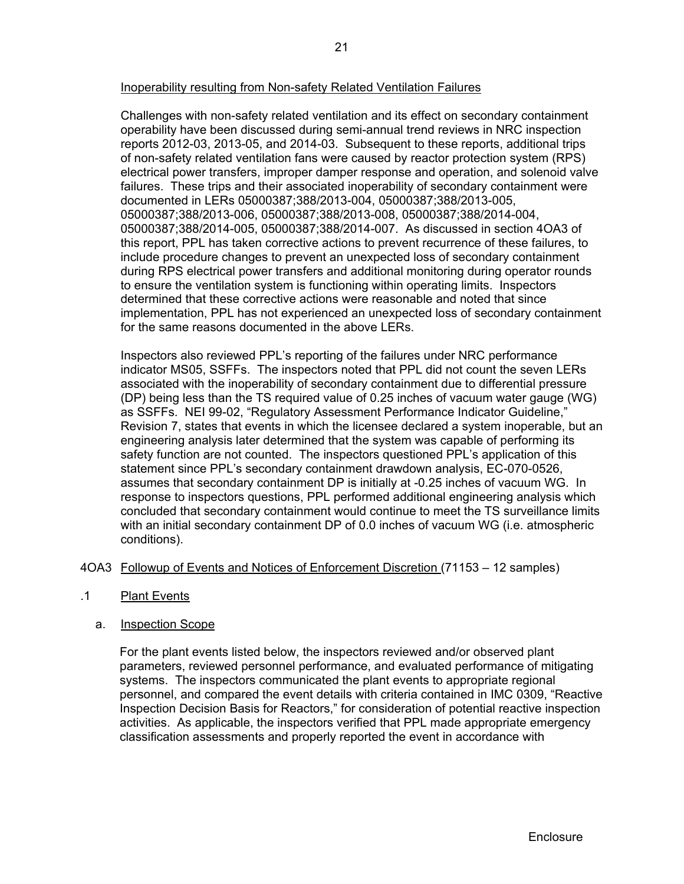## Inoperability resulting from Non-safety Related Ventilation Failures

Challenges with non-safety related ventilation and its effect on secondary containment operability have been discussed during semi-annual trend reviews in NRC inspection reports 2012-03, 2013-05, and 2014-03. Subsequent to these reports, additional trips of non-safety related ventilation fans were caused by reactor protection system (RPS) electrical power transfers, improper damper response and operation, and solenoid valve failures. These trips and their associated inoperability of secondary containment were documented in LERs 05000387;388/2013-004, 05000387;388/2013-005, 05000387;388/2013-006, 05000387;388/2013-008, 05000387;388/2014-004, 05000387;388/2014-005, 05000387;388/2014-007. As discussed in section 4OA3 of this report, PPL has taken corrective actions to prevent recurrence of these failures, to include procedure changes to prevent an unexpected loss of secondary containment during RPS electrical power transfers and additional monitoring during operator rounds to ensure the ventilation system is functioning within operating limits. Inspectors determined that these corrective actions were reasonable and noted that since implementation, PPL has not experienced an unexpected loss of secondary containment for the same reasons documented in the above LERs.

Inspectors also reviewed PPL's reporting of the failures under NRC performance indicator MS05, SSFFs. The inspectors noted that PPL did not count the seven LERs associated with the inoperability of secondary containment due to differential pressure (DP) being less than the TS required value of 0.25 inches of vacuum water gauge (WG) as SSFFs. NEI 99-02, "Regulatory Assessment Performance Indicator Guideline," Revision 7, states that events in which the licensee declared a system inoperable, but an engineering analysis later determined that the system was capable of performing its safety function are not counted. The inspectors questioned PPL's application of this statement since PPL's secondary containment drawdown analysis, EC-070-0526, assumes that secondary containment DP is initially at -0.25 inches of vacuum WG. In response to inspectors questions, PPL performed additional engineering analysis which concluded that secondary containment would continue to meet the TS surveillance limits with an initial secondary containment DP of 0.0 inches of vacuum WG (i.e. atmospheric conditions).

## 4OA3 Followup of Events and Notices of Enforcement Discretion (71153 – 12 samples)

.1 Plant Events

## a. Inspection Scope

For the plant events listed below, the inspectors reviewed and/or observed plant parameters, reviewed personnel performance, and evaluated performance of mitigating systems. The inspectors communicated the plant events to appropriate regional personnel, and compared the event details with criteria contained in IMC 0309, "Reactive Inspection Decision Basis for Reactors," for consideration of potential reactive inspection activities. As applicable, the inspectors verified that PPL made appropriate emergency classification assessments and properly reported the event in accordance with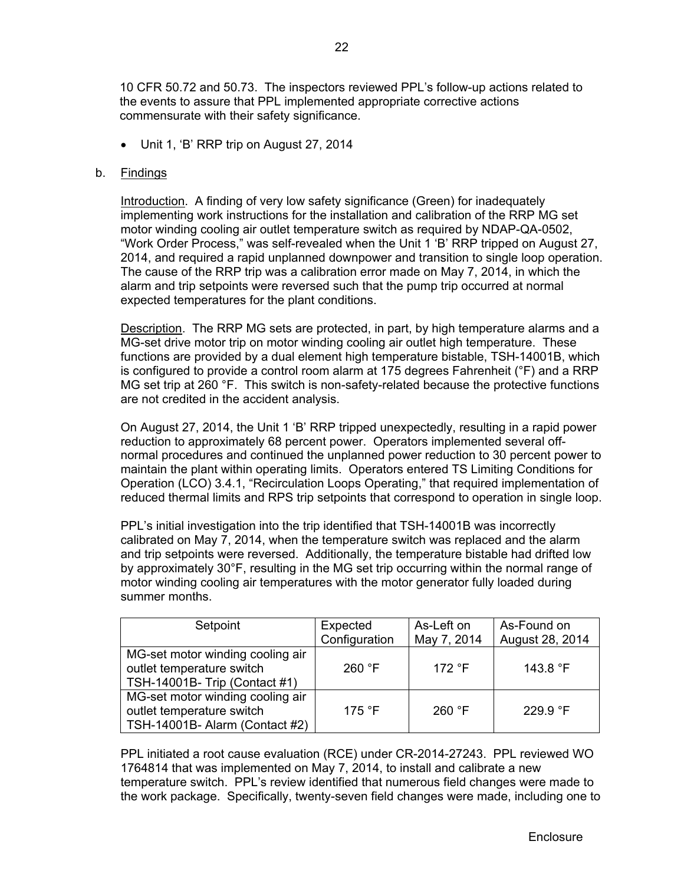10 CFR 50.72 and 50.73. The inspectors reviewed PPL's follow-up actions related to the events to assure that PPL implemented appropriate corrective actions commensurate with their safety significance.

Unit 1, 'B' RRP trip on August 27, 2014

## b. Findings

Introduction. A finding of very low safety significance (Green) for inadequately implementing work instructions for the installation and calibration of the RRP MG set motor winding cooling air outlet temperature switch as required by NDAP-QA-0502, "Work Order Process," was self-revealed when the Unit 1 'B' RRP tripped on August 27, 2014, and required a rapid unplanned downpower and transition to single loop operation. The cause of the RRP trip was a calibration error made on May 7, 2014, in which the alarm and trip setpoints were reversed such that the pump trip occurred at normal expected temperatures for the plant conditions.

Description. The RRP MG sets are protected, in part, by high temperature alarms and a MG-set drive motor trip on motor winding cooling air outlet high temperature. These functions are provided by a dual element high temperature bistable, TSH-14001B, which is configured to provide a control room alarm at 175 degrees Fahrenheit (°F) and a RRP MG set trip at 260 °F. This switch is non-safety-related because the protective functions are not credited in the accident analysis.

On August 27, 2014, the Unit 1 'B' RRP tripped unexpectedly, resulting in a rapid power reduction to approximately 68 percent power. Operators implemented several offnormal procedures and continued the unplanned power reduction to 30 percent power to maintain the plant within operating limits. Operators entered TS Limiting Conditions for Operation (LCO) 3.4.1, "Recirculation Loops Operating," that required implementation of reduced thermal limits and RPS trip setpoints that correspond to operation in single loop.

PPL's initial investigation into the trip identified that TSH-14001B was incorrectly calibrated on May 7, 2014, when the temperature switch was replaced and the alarm and trip setpoints were reversed. Additionally, the temperature bistable had drifted low by approximately 30°F, resulting in the MG set trip occurring within the normal range of motor winding cooling air temperatures with the motor generator fully loaded during summer months.

| Setpoint                                                                                        | Expected        | As-Left on      | As-Found on       |
|-------------------------------------------------------------------------------------------------|-----------------|-----------------|-------------------|
|                                                                                                 | Configuration   | May 7, 2014     | August 28, 2014   |
| MG-set motor winding cooling air<br>outlet temperature switch<br>TSH-14001B- Trip (Contact #1)  | 260 °F          | 172 $\degree$ F | 143.8 $\degree$ F |
| MG-set motor winding cooling air<br>outlet temperature switch<br>TSH-14001B- Alarm (Contact #2) | 175 $\degree$ F | 260 °F          | 229.9 $\degree$ F |

PPL initiated a root cause evaluation (RCE) under CR-2014-27243. PPL reviewed WO 1764814 that was implemented on May 7, 2014, to install and calibrate a new temperature switch. PPL's review identified that numerous field changes were made to the work package. Specifically, twenty-seven field changes were made, including one to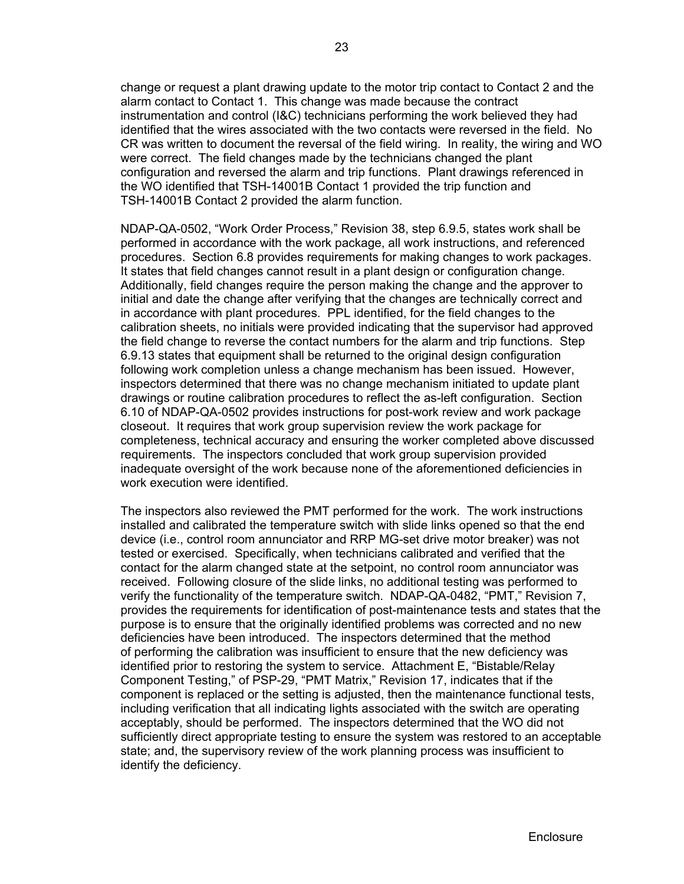change or request a plant drawing update to the motor trip contact to Contact 2 and the alarm contact to Contact 1. This change was made because the contract instrumentation and control (I&C) technicians performing the work believed they had identified that the wires associated with the two contacts were reversed in the field. No CR was written to document the reversal of the field wiring. In reality, the wiring and WO were correct. The field changes made by the technicians changed the plant configuration and reversed the alarm and trip functions. Plant drawings referenced in the WO identified that TSH-14001B Contact 1 provided the trip function and TSH-14001B Contact 2 provided the alarm function.

NDAP-QA-0502, "Work Order Process," Revision 38, step 6.9.5, states work shall be performed in accordance with the work package, all work instructions, and referenced procedures. Section 6.8 provides requirements for making changes to work packages. It states that field changes cannot result in a plant design or configuration change. Additionally, field changes require the person making the change and the approver to initial and date the change after verifying that the changes are technically correct and in accordance with plant procedures. PPL identified, for the field changes to the calibration sheets, no initials were provided indicating that the supervisor had approved the field change to reverse the contact numbers for the alarm and trip functions. Step 6.9.13 states that equipment shall be returned to the original design configuration following work completion unless a change mechanism has been issued. However, inspectors determined that there was no change mechanism initiated to update plant drawings or routine calibration procedures to reflect the as-left configuration. Section 6.10 of NDAP-QA-0502 provides instructions for post-work review and work package closeout. It requires that work group supervision review the work package for completeness, technical accuracy and ensuring the worker completed above discussed requirements. The inspectors concluded that work group supervision provided inadequate oversight of the work because none of the aforementioned deficiencies in work execution were identified.

The inspectors also reviewed the PMT performed for the work. The work instructions installed and calibrated the temperature switch with slide links opened so that the end device (i.e., control room annunciator and RRP MG-set drive motor breaker) was not tested or exercised. Specifically, when technicians calibrated and verified that the contact for the alarm changed state at the setpoint, no control room annunciator was received. Following closure of the slide links, no additional testing was performed to verify the functionality of the temperature switch. NDAP-QA-0482, "PMT," Revision 7, provides the requirements for identification of post-maintenance tests and states that the purpose is to ensure that the originally identified problems was corrected and no new deficiencies have been introduced. The inspectors determined that the method of performing the calibration was insufficient to ensure that the new deficiency was identified prior to restoring the system to service. Attachment E, "Bistable/Relay Component Testing," of PSP-29, "PMT Matrix," Revision 17, indicates that if the component is replaced or the setting is adjusted, then the maintenance functional tests, including verification that all indicating lights associated with the switch are operating acceptably, should be performed. The inspectors determined that the WO did not sufficiently direct appropriate testing to ensure the system was restored to an acceptable state; and, the supervisory review of the work planning process was insufficient to identify the deficiency.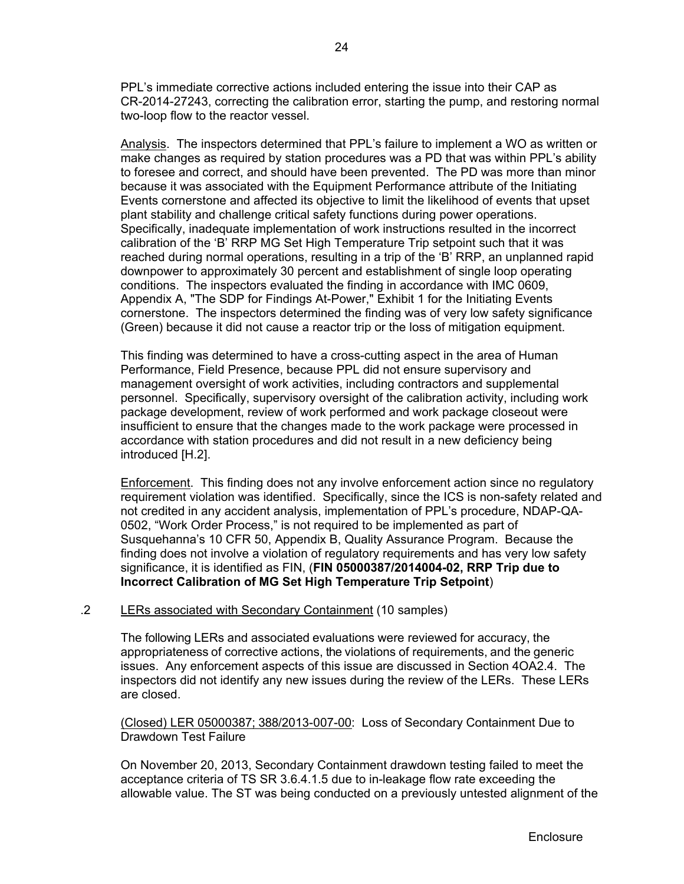PPL's immediate corrective actions included entering the issue into their CAP as CR-2014-27243, correcting the calibration error, starting the pump, and restoring normal two-loop flow to the reactor vessel.

Analysis. The inspectors determined that PPL's failure to implement a WO as written or make changes as required by station procedures was a PD that was within PPL's ability to foresee and correct, and should have been prevented. The PD was more than minor because it was associated with the Equipment Performance attribute of the Initiating Events cornerstone and affected its objective to limit the likelihood of events that upset plant stability and challenge critical safety functions during power operations. Specifically, inadequate implementation of work instructions resulted in the incorrect calibration of the 'B' RRP MG Set High Temperature Trip setpoint such that it was reached during normal operations, resulting in a trip of the 'B' RRP, an unplanned rapid downpower to approximately 30 percent and establishment of single loop operating conditions. The inspectors evaluated the finding in accordance with IMC 0609, Appendix A, "The SDP for Findings At-Power," Exhibit 1 for the Initiating Events cornerstone. The inspectors determined the finding was of very low safety significance (Green) because it did not cause a reactor trip or the loss of mitigation equipment.

This finding was determined to have a cross-cutting aspect in the area of Human Performance, Field Presence, because PPL did not ensure supervisory and management oversight of work activities, including contractors and supplemental personnel. Specifically, supervisory oversight of the calibration activity, including work package development, review of work performed and work package closeout were insufficient to ensure that the changes made to the work package were processed in accordance with station procedures and did not result in a new deficiency being introduced [H.2].

**Enforcement.** This finding does not any involve enforcement action since no regulatory requirement violation was identified. Specifically, since the ICS is non-safety related and not credited in any accident analysis, implementation of PPL's procedure, NDAP-QA-0502, "Work Order Process," is not required to be implemented as part of Susquehanna's 10 CFR 50, Appendix B, Quality Assurance Program. Because the finding does not involve a violation of regulatory requirements and has very low safety significance, it is identified as FIN, (**FIN 05000387/2014004-02, RRP Trip due to Incorrect Calibration of MG Set High Temperature Trip Setpoint**)

## .2 LERs associated with Secondary Containment (10 samples)

The following LERs and associated evaluations were reviewed for accuracy, the appropriateness of corrective actions, the violations of requirements, and the generic issues. Any enforcement aspects of this issue are discussed in Section 4OA2.4. The inspectors did not identify any new issues during the review of the LERs. These LERs are closed.

(Closed) LER 05000387; 388/2013-007-00: Loss of Secondary Containment Due to Drawdown Test Failure

On November 20, 2013, Secondary Containment drawdown testing failed to meet the acceptance criteria of TS SR 3.6.4.1.5 due to in-leakage flow rate exceeding the allowable value. The ST was being conducted on a previously untested alignment of the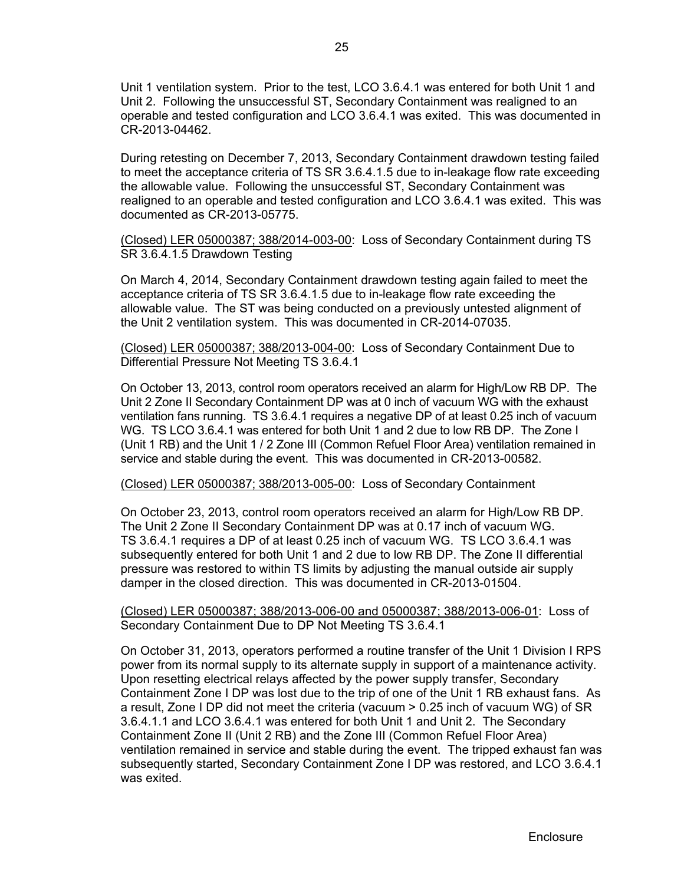Unit 1 ventilation system. Prior to the test, LCO 3.6.4.1 was entered for both Unit 1 and Unit 2. Following the unsuccessful ST, Secondary Containment was realigned to an operable and tested configuration and LCO 3.6.4.1 was exited. This was documented in CR-2013-04462.

During retesting on December 7, 2013, Secondary Containment drawdown testing failed to meet the acceptance criteria of TS SR 3.6.4.1.5 due to in-leakage flow rate exceeding the allowable value. Following the unsuccessful ST, Secondary Containment was realigned to an operable and tested configuration and LCO 3.6.4.1 was exited. This was documented as CR-2013-05775.

(Closed) LER 05000387; 388/2014-003-00: Loss of Secondary Containment during TS SR 3.6.4.1.5 Drawdown Testing

On March 4, 2014, Secondary Containment drawdown testing again failed to meet the acceptance criteria of TS SR 3.6.4.1.5 due to in-leakage flow rate exceeding the allowable value. The ST was being conducted on a previously untested alignment of the Unit 2 ventilation system. This was documented in CR-2014-07035.

(Closed) LER 05000387; 388/2013-004-00: Loss of Secondary Containment Due to Differential Pressure Not Meeting TS 3.6.4.1

On October 13, 2013, control room operators received an alarm for High/Low RB DP. The Unit 2 Zone II Secondary Containment DP was at 0 inch of vacuum WG with the exhaust ventilation fans running. TS 3.6.4.1 requires a negative DP of at least 0.25 inch of vacuum WG. TS LCO 3.6.4.1 was entered for both Unit 1 and 2 due to low RB DP. The Zone I (Unit 1 RB) and the Unit 1 / 2 Zone III (Common Refuel Floor Area) ventilation remained in service and stable during the event. This was documented in CR-2013-00582.

(Closed) LER 05000387; 388/2013-005-00: Loss of Secondary Containment

On October 23, 2013, control room operators received an alarm for High/Low RB DP. The Unit 2 Zone II Secondary Containment DP was at 0.17 inch of vacuum WG. TS 3.6.4.1 requires a DP of at least 0.25 inch of vacuum WG. TS LCO 3.6.4.1 was subsequently entered for both Unit 1 and 2 due to low RB DP. The Zone II differential pressure was restored to within TS limits by adjusting the manual outside air supply damper in the closed direction. This was documented in CR-2013-01504.

(Closed) LER 05000387; 388/2013-006-00 and 05000387; 388/2013-006-01: Loss of Secondary Containment Due to DP Not Meeting TS 3.6.4.1

On October 31, 2013, operators performed a routine transfer of the Unit 1 Division I RPS power from its normal supply to its alternate supply in support of a maintenance activity. Upon resetting electrical relays affected by the power supply transfer, Secondary Containment Zone I DP was lost due to the trip of one of the Unit 1 RB exhaust fans. As a result, Zone I DP did not meet the criteria (vacuum > 0.25 inch of vacuum WG) of SR 3.6.4.1.1 and LCO 3.6.4.1 was entered for both Unit 1 and Unit 2. The Secondary Containment Zone II (Unit 2 RB) and the Zone III (Common Refuel Floor Area) ventilation remained in service and stable during the event. The tripped exhaust fan was subsequently started, Secondary Containment Zone I DP was restored, and LCO 3.6.4.1 was exited.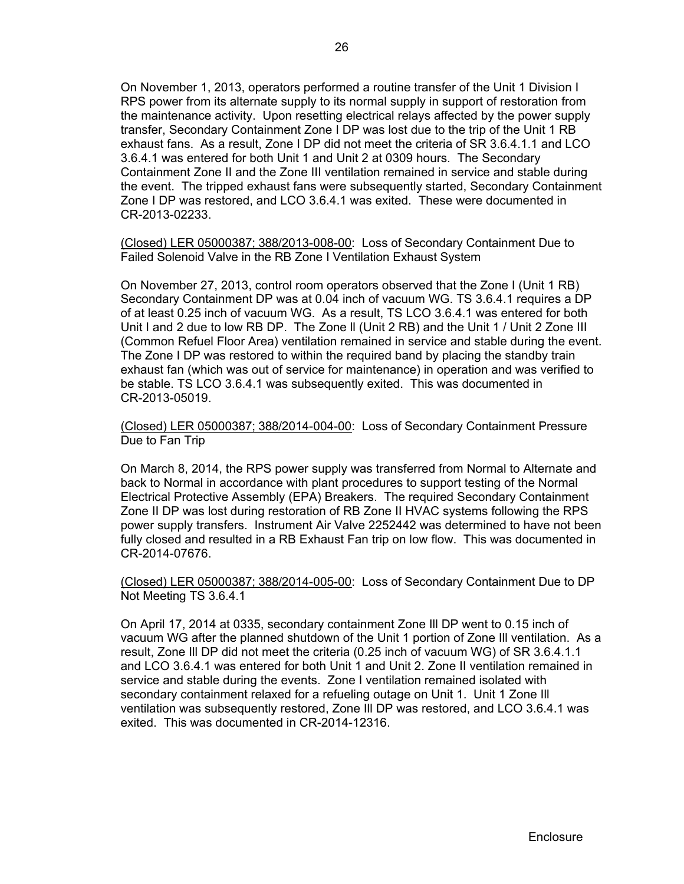On November 1, 2013, operators performed a routine transfer of the Unit 1 Division I RPS power from its alternate supply to its normal supply in support of restoration from the maintenance activity. Upon resetting electrical relays affected by the power supply transfer, Secondary Containment Zone I DP was lost due to the trip of the Unit 1 RB exhaust fans. As a result, Zone I DP did not meet the criteria of SR 3.6.4.1.1 and LCO 3.6.4.1 was entered for both Unit 1 and Unit 2 at 0309 hours. The Secondary Containment Zone II and the Zone III ventilation remained in service and stable during the event. The tripped exhaust fans were subsequently started, Secondary Containment Zone I DP was restored, and LCO 3.6.4.1 was exited. These were documented in CR-2013-02233.

(Closed) LER 05000387; 388/2013-008-00: Loss of Secondary Containment Due to Failed Solenoid Valve in the RB Zone I Ventilation Exhaust System

On November 27, 2013, control room operators observed that the Zone I (Unit 1 RB) Secondary Containment DP was at 0.04 inch of vacuum WG. TS 3.6.4.1 requires a DP of at least 0.25 inch of vacuum WG. As a result, TS LCO 3.6.4.1 was entered for both Unit I and 2 due to low RB DP. The Zone ll (Unit 2 RB) and the Unit 1 / Unit 2 Zone III (Common Refuel Floor Area) ventilation remained in service and stable during the event. The Zone I DP was restored to within the required band by placing the standby train exhaust fan (which was out of service for maintenance) in operation and was verified to be stable. TS LCO 3.6.4.1 was subsequently exited. This was documented in CR-2013-05019.

(Closed) LER 05000387; 388/2014-004-00: Loss of Secondary Containment Pressure Due to Fan Trip

On March 8, 2014, the RPS power supply was transferred from Normal to Alternate and back to Normal in accordance with plant procedures to support testing of the Normal Electrical Protective Assembly (EPA) Breakers. The required Secondary Containment Zone II DP was lost during restoration of RB Zone II HVAC systems following the RPS power supply transfers. Instrument Air Valve 2252442 was determined to have not been fully closed and resulted in a RB Exhaust Fan trip on low flow. This was documented in CR-2014-07676.

(Closed) LER 05000387; 388/2014-005-00: Loss of Secondary Containment Due to DP Not Meeting TS 3.6.4.1

On April 17, 2014 at 0335, secondary containment Zone Ill DP went to 0.15 inch of vacuum WG after the planned shutdown of the Unit 1 portion of Zone Ill ventilation. As a result, Zone Ill DP did not meet the criteria (0.25 inch of vacuum WG) of SR 3.6.4.1.1 and LCO 3.6.4.1 was entered for both Unit 1 and Unit 2. Zone II ventilation remained in service and stable during the events. Zone I ventilation remained isolated with secondary containment relaxed for a refueling outage on Unit 1. Unit 1 Zone Ill ventilation was subsequently restored, Zone Ill DP was restored, and LCO 3.6.4.1 was exited. This was documented in CR-2014-12316.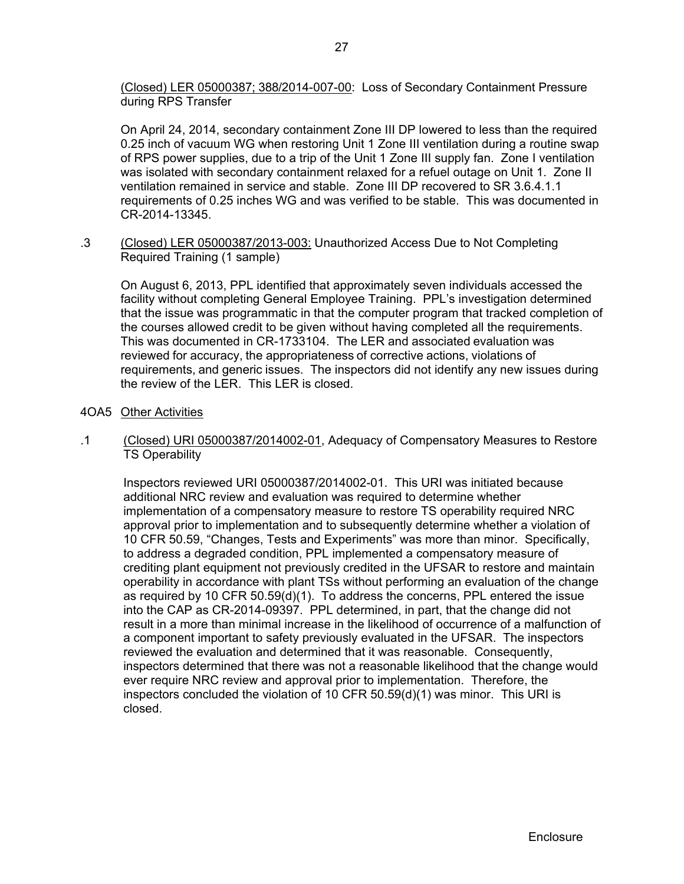(Closed) LER 05000387; 388/2014-007-00: Loss of Secondary Containment Pressure during RPS Transfer

On April 24, 2014, secondary containment Zone III DP lowered to less than the required 0.25 inch of vacuum WG when restoring Unit 1 Zone III ventilation during a routine swap of RPS power supplies, due to a trip of the Unit 1 Zone III supply fan. Zone I ventilation was isolated with secondary containment relaxed for a refuel outage on Unit 1. Zone II ventilation remained in service and stable. Zone III DP recovered to SR 3.6.4.1.1 requirements of 0.25 inches WG and was verified to be stable. This was documented in CR-2014-13345.

.3 (Closed) LER 05000387/2013-003: Unauthorized Access Due to Not Completing Required Training (1 sample)

On August 6, 2013, PPL identified that approximately seven individuals accessed the facility without completing General Employee Training. PPL's investigation determined that the issue was programmatic in that the computer program that tracked completion of the courses allowed credit to be given without having completed all the requirements. This was documented in CR-1733104. The LER and associated evaluation was reviewed for accuracy, the appropriateness of corrective actions, violations of requirements, and generic issues. The inspectors did not identify any new issues during the review of the LER. This LER is closed.

- 4OA5 Other Activities
- .1 (Closed) URI 05000387/2014002-01, Adequacy of Compensatory Measures to Restore TS Operability

Inspectors reviewed URI 05000387/2014002-01. This URI was initiated because additional NRC review and evaluation was required to determine whether implementation of a compensatory measure to restore TS operability required NRC approval prior to implementation and to subsequently determine whether a violation of 10 CFR 50.59, "Changes, Tests and Experiments" was more than minor. Specifically, to address a degraded condition, PPL implemented a compensatory measure of crediting plant equipment not previously credited in the UFSAR to restore and maintain operability in accordance with plant TSs without performing an evaluation of the change as required by 10 CFR 50.59(d)(1). To address the concerns, PPL entered the issue into the CAP as CR-2014-09397. PPL determined, in part, that the change did not result in a more than minimal increase in the likelihood of occurrence of a malfunction of a component important to safety previously evaluated in the UFSAR. The inspectors reviewed the evaluation and determined that it was reasonable. Consequently, inspectors determined that there was not a reasonable likelihood that the change would ever require NRC review and approval prior to implementation. Therefore, the inspectors concluded the violation of 10 CFR 50.59(d)(1) was minor. This URI is closed.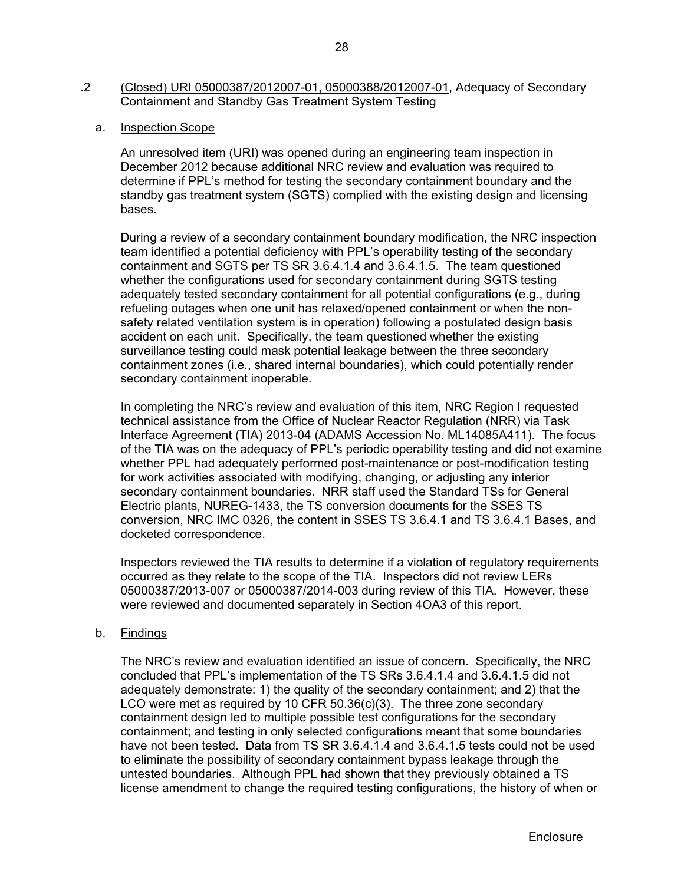- .2 (Closed) URI 05000387/2012007-01, 05000388/2012007-01, Adequacy of Secondary Containment and Standby Gas Treatment System Testing
	- a. Inspection Scope

An unresolved item (URI) was opened during an engineering team inspection in December 2012 because additional NRC review and evaluation was required to determine if PPL's method for testing the secondary containment boundary and the standby gas treatment system (SGTS) complied with the existing design and licensing bases.

During a review of a secondary containment boundary modification, the NRC inspection team identified a potential deficiency with PPL's operability testing of the secondary containment and SGTS per TS SR 3.6.4.1.4 and 3.6.4.1.5. The team questioned whether the configurations used for secondary containment during SGTS testing adequately tested secondary containment for all potential configurations (e.g., during refueling outages when one unit has relaxed/opened containment or when the nonsafety related ventilation system is in operation) following a postulated design basis accident on each unit. Specifically, the team questioned whether the existing surveillance testing could mask potential leakage between the three secondary containment zones (i.e., shared internal boundaries), which could potentially render secondary containment inoperable.

In completing the NRC's review and evaluation of this item, NRC Region I requested technical assistance from the Office of Nuclear Reactor Regulation (NRR) via Task Interface Agreement (TIA) 2013-04 (ADAMS Accession No. ML14085A411). The focus of the TIA was on the adequacy of PPL's periodic operability testing and did not examine whether PPL had adequately performed post-maintenance or post-modification testing for work activities associated with modifying, changing, or adjusting any interior secondary containment boundaries. NRR staff used the Standard TSs for General Electric plants, NUREG-1433, the TS conversion documents for the SSES TS conversion, NRC IMC 0326, the content in SSES TS 3.6.4.1 and TS 3.6.4.1 Bases, and docketed correspondence.

Inspectors reviewed the TIA results to determine if a violation of regulatory requirements occurred as they relate to the scope of the TIA. Inspectors did not review LERs 05000387/2013-007 or 05000387/2014-003 during review of this TIA. However, these were reviewed and documented separately in Section 4OA3 of this report.

b. Findings

The NRC's review and evaluation identified an issue of concern. Specifically, the NRC concluded that PPL's implementation of the TS SRs 3.6.4.1.4 and 3.6.4.1.5 did not adequately demonstrate: 1) the quality of the secondary containment; and 2) that the LCO were met as required by 10 CFR 50.36(c)(3). The three zone secondary containment design led to multiple possible test configurations for the secondary containment; and testing in only selected configurations meant that some boundaries have not been tested. Data from TS SR 3.6.4.1.4 and 3.6.4.1.5 tests could not be used to eliminate the possibility of secondary containment bypass leakage through the untested boundaries. Although PPL had shown that they previously obtained a TS license amendment to change the required testing configurations, the history of when or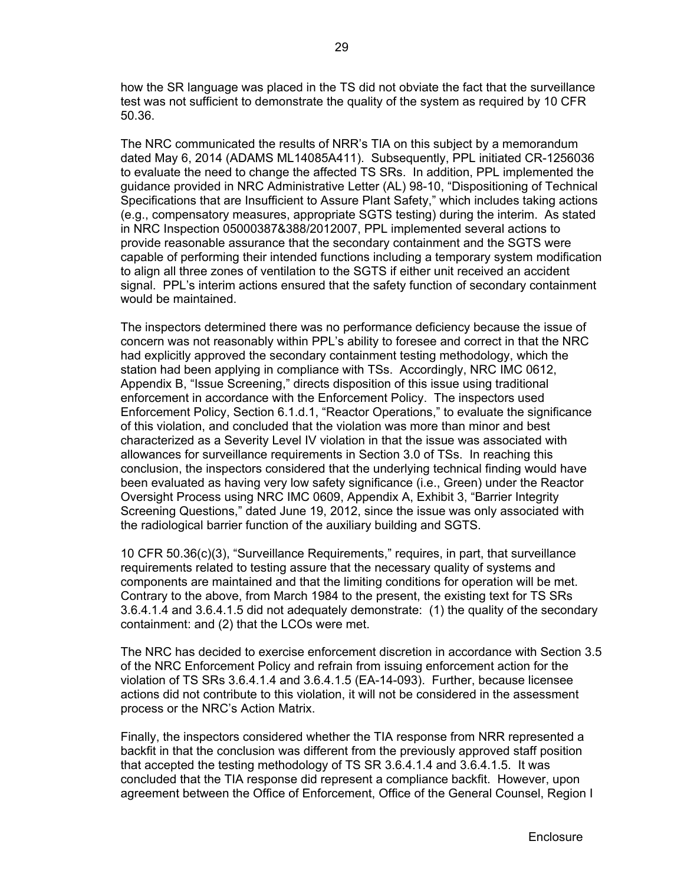how the SR language was placed in the TS did not obviate the fact that the surveillance test was not sufficient to demonstrate the quality of the system as required by 10 CFR 50.36.

The NRC communicated the results of NRR's TIA on this subject by a memorandum dated May 6, 2014 (ADAMS ML14085A411). Subsequently, PPL initiated CR-1256036 to evaluate the need to change the affected TS SRs. In addition, PPL implemented the guidance provided in NRC Administrative Letter (AL) 98-10, "Dispositioning of Technical Specifications that are Insufficient to Assure Plant Safety," which includes taking actions (e.g., compensatory measures, appropriate SGTS testing) during the interim. As stated in NRC Inspection 05000387&388/2012007, PPL implemented several actions to provide reasonable assurance that the secondary containment and the SGTS were capable of performing their intended functions including a temporary system modification to align all three zones of ventilation to the SGTS if either unit received an accident signal. PPL's interim actions ensured that the safety function of secondary containment would be maintained.

The inspectors determined there was no performance deficiency because the issue of concern was not reasonably within PPL's ability to foresee and correct in that the NRC had explicitly approved the secondary containment testing methodology, which the station had been applying in compliance with TSs. Accordingly, NRC IMC 0612, Appendix B, "Issue Screening," directs disposition of this issue using traditional enforcement in accordance with the Enforcement Policy. The inspectors used Enforcement Policy, Section 6.1.d.1, "Reactor Operations," to evaluate the significance of this violation, and concluded that the violation was more than minor and best characterized as a Severity Level IV violation in that the issue was associated with allowances for surveillance requirements in Section 3.0 of TSs. In reaching this conclusion, the inspectors considered that the underlying technical finding would have been evaluated as having very low safety significance (i.e., Green) under the Reactor Oversight Process using NRC IMC 0609, Appendix A, Exhibit 3, "Barrier Integrity Screening Questions," dated June 19, 2012, since the issue was only associated with the radiological barrier function of the auxiliary building and SGTS.

10 CFR 50.36(c)(3), "Surveillance Requirements," requires, in part, that surveillance requirements related to testing assure that the necessary quality of systems and components are maintained and that the limiting conditions for operation will be met. Contrary to the above, from March 1984 to the present, the existing text for TS SRs 3.6.4.1.4 and 3.6.4.1.5 did not adequately demonstrate: (1) the quality of the secondary containment: and (2) that the LCOs were met.

The NRC has decided to exercise enforcement discretion in accordance with Section 3.5 of the NRC Enforcement Policy and refrain from issuing enforcement action for the violation of TS SRs 3.6.4.1.4 and 3.6.4.1.5 (EA-14-093). Further, because licensee actions did not contribute to this violation, it will not be considered in the assessment process or the NRC's Action Matrix.

Finally, the inspectors considered whether the TIA response from NRR represented a backfit in that the conclusion was different from the previously approved staff position that accepted the testing methodology of TS SR 3.6.4.1.4 and 3.6.4.1.5. It was concluded that the TIA response did represent a compliance backfit. However, upon agreement between the Office of Enforcement, Office of the General Counsel, Region I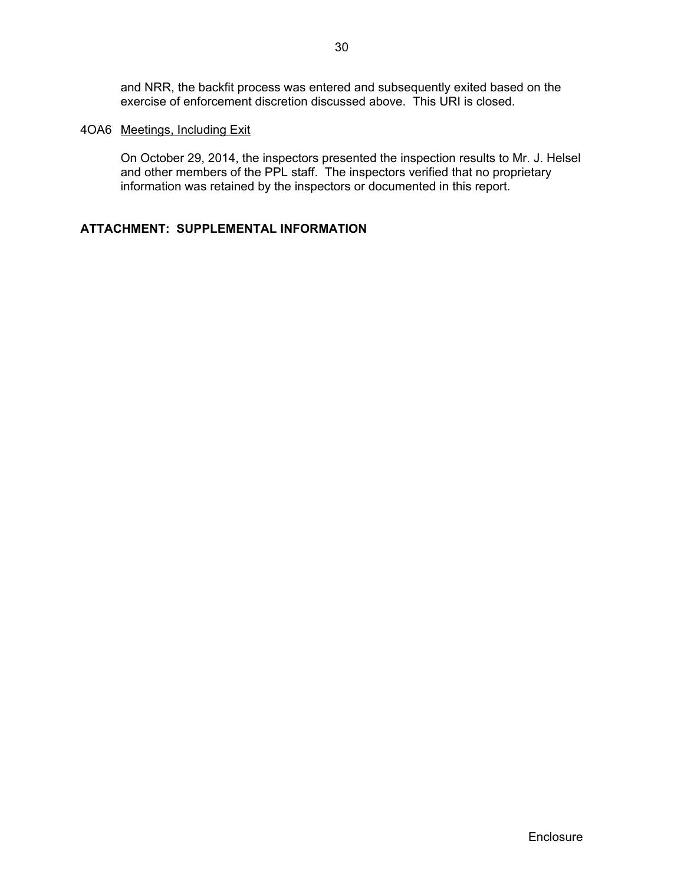and NRR, the backfit process was entered and subsequently exited based on the exercise of enforcement discretion discussed above. This URI is closed.

## 4OA6 Meetings, Including Exit

On October 29, 2014, the inspectors presented the inspection results to Mr. J. Helsel and other members of the PPL staff. The inspectors verified that no proprietary information was retained by the inspectors or documented in this report.

## **ATTACHMENT: SUPPLEMENTAL INFORMATION**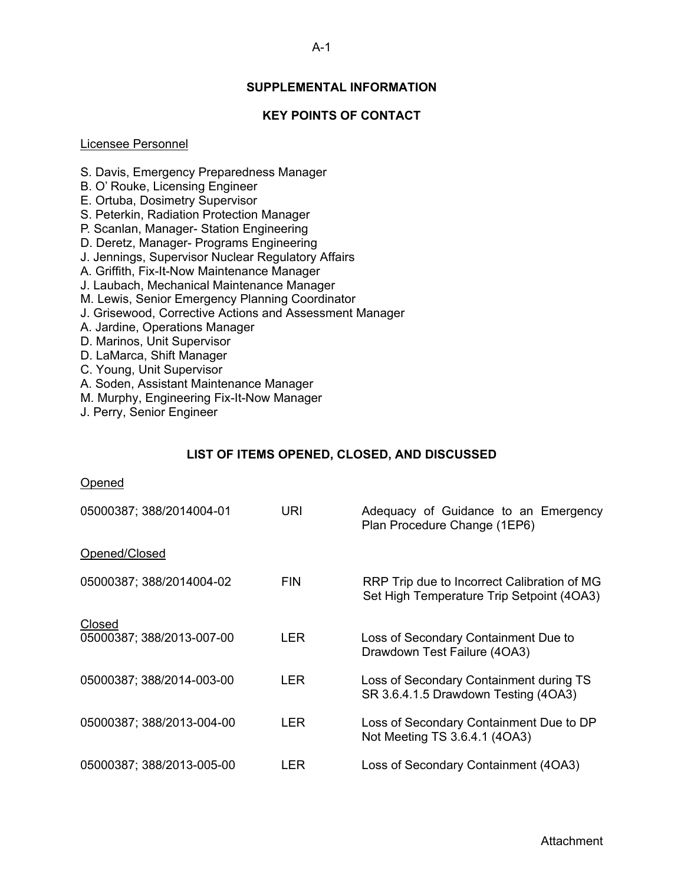## **SUPPLEMENTAL INFORMATION**

## **KEY POINTS OF CONTACT**

#### Licensee Personnel

- S. Davis, Emergency Preparedness Manager
- B. O' Rouke, Licensing Engineer
- E. Ortuba, Dosimetry Supervisor
- S. Peterkin, Radiation Protection Manager
- P. Scanlan, Manager- Station Engineering
- D. Deretz, Manager- Programs Engineering
- J. Jennings, Supervisor Nuclear Regulatory Affairs
- A. Griffith, Fix-It-Now Maintenance Manager
- J. Laubach, Mechanical Maintenance Manager
- M. Lewis, Senior Emergency Planning Coordinator
- J. Grisewood, Corrective Actions and Assessment Manager
- A. Jardine, Operations Manager
- D. Marinos, Unit Supervisor
- D. LaMarca, Shift Manager
- C. Young, Unit Supervisor
- A. Soden, Assistant Maintenance Manager
- M. Murphy, Engineering Fix-It-Now Manager
- J. Perry, Senior Engineer

## **LIST OF ITEMS OPENED, CLOSED, AND DISCUSSED**

#### Opened

| 05000387; 388/2014004-01            | URI        | Adequacy of Guidance to an Emergency<br>Plan Procedure Change (1EP6)                     |
|-------------------------------------|------------|------------------------------------------------------------------------------------------|
| Opened/Closed                       |            |                                                                                          |
| 05000387; 388/2014004-02            | <b>FIN</b> | RRP Trip due to Incorrect Calibration of MG<br>Set High Temperature Trip Setpoint (4OA3) |
| Closed<br>05000387; 388/2013-007-00 | LER.       | Loss of Secondary Containment Due to<br>Drawdown Test Failure (4OA3)                     |
| 05000387; 388/2014-003-00           | <b>LER</b> | Loss of Secondary Containment during TS<br>SR 3.6.4.1.5 Drawdown Testing (4OA3)          |
| 05000387; 388/2013-004-00           | LER.       | Loss of Secondary Containment Due to DP<br>Not Meeting TS 3.6.4.1 (4OA3)                 |
| 05000387; 388/2013-005-00           | LER        | Loss of Secondary Containment (4OA3)                                                     |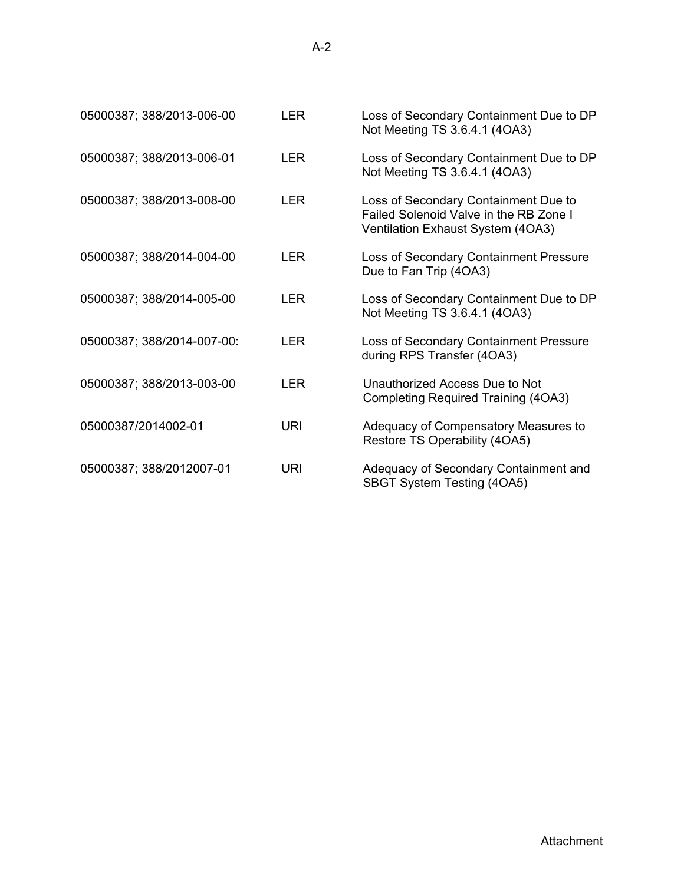| 05000387; 388/2013-006-00  | <b>LER</b> | Loss of Secondary Containment Due to DP<br>Not Meeting TS 3.6.4.1 (4OA3)                                            |
|----------------------------|------------|---------------------------------------------------------------------------------------------------------------------|
| 05000387; 388/2013-006-01  | <b>LER</b> | Loss of Secondary Containment Due to DP<br>Not Meeting TS 3.6.4.1 (4OA3)                                            |
| 05000387; 388/2013-008-00  | <b>LER</b> | Loss of Secondary Containment Due to<br>Failed Solenoid Valve in the RB Zone I<br>Ventilation Exhaust System (4OA3) |
| 05000387; 388/2014-004-00  | <b>LER</b> | Loss of Secondary Containment Pressure<br>Due to Fan Trip (4OA3)                                                    |
| 05000387; 388/2014-005-00  | <b>LER</b> | Loss of Secondary Containment Due to DP<br>Not Meeting TS 3.6.4.1 (4OA3)                                            |
| 05000387; 388/2014-007-00: | LER.       | Loss of Secondary Containment Pressure<br>during RPS Transfer (4OA3)                                                |
| 05000387; 388/2013-003-00  | <b>LER</b> | Unauthorized Access Due to Not<br><b>Completing Required Training (4OA3)</b>                                        |
| 05000387/2014002-01        | URI        | Adequacy of Compensatory Measures to<br>Restore TS Operability (4OA5)                                               |
| 05000387; 388/2012007-01   | URI        | Adequacy of Secondary Containment and<br>SBGT System Testing (4OA5)                                                 |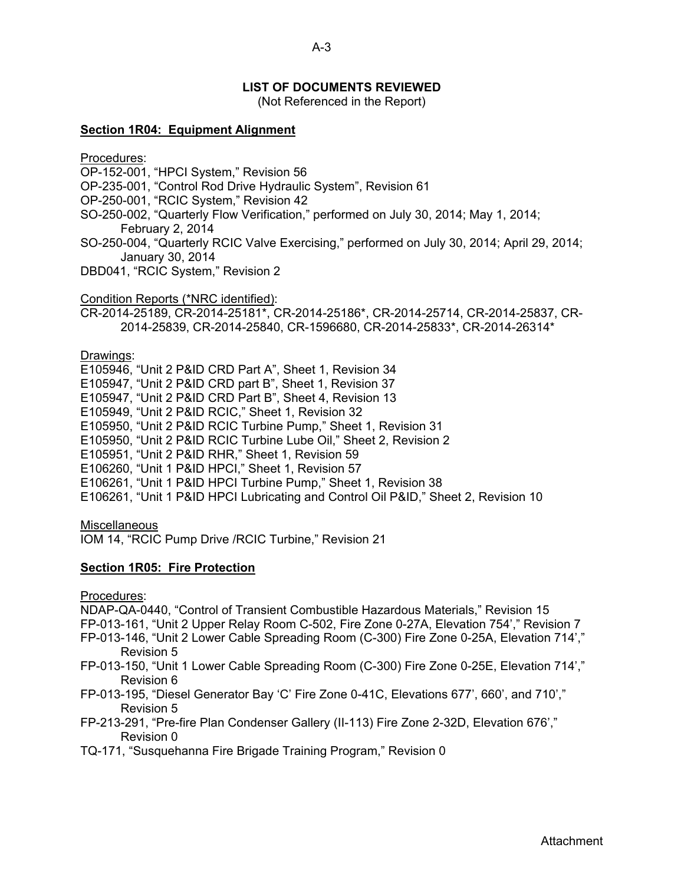## **LIST OF DOCUMENTS REVIEWED**

(Not Referenced in the Report)

## **Section 1R04: Equipment Alignment**

Procedures:

- OP-152-001, "HPCI System," Revision 56
- OP-235-001, "Control Rod Drive Hydraulic System", Revision 61
- OP-250-001, "RCIC System," Revision 42
- SO-250-002, "Quarterly Flow Verification," performed on July 30, 2014; May 1, 2014; February 2, 2014
- SO-250-004, "Quarterly RCIC Valve Exercising," performed on July 30, 2014; April 29, 2014; January 30, 2014
- DBD041, "RCIC System," Revision 2

Condition Reports (\*NRC identified):

CR-2014-25189, CR-2014-25181\*, CR-2014-25186\*, CR-2014-25714, CR-2014-25837, CR-2014-25839, CR-2014-25840, CR-1596680, CR-2014-25833\*, CR-2014-26314\*

#### Drawings:

E105946, "Unit 2 P&ID CRD Part A", Sheet 1, Revision 34 E105947, "Unit 2 P&ID CRD part B", Sheet 1, Revision 37 E105947, "Unit 2 P&ID CRD Part B", Sheet 4, Revision 13 E105949, "Unit 2 P&ID RCIC," Sheet 1, Revision 32 E105950, "Unit 2 P&ID RCIC Turbine Pump," Sheet 1, Revision 31 E105950, "Unit 2 P&ID RCIC Turbine Lube Oil," Sheet 2, Revision 2 E105951, "Unit 2 P&ID RHR," Sheet 1, Revision 59 E106260, "Unit 1 P&ID HPCI," Sheet 1, Revision 57 E106261, "Unit 1 P&ID HPCI Turbine Pump," Sheet 1, Revision 38 E106261, "Unit 1 P&ID HPCI Lubricating and Control Oil P&ID," Sheet 2, Revision 10

#### **Miscellaneous**

IOM 14, "RCIC Pump Drive /RCIC Turbine," Revision 21

## **Section 1R05: Fire Protection**

Procedures:

NDAP-QA-0440, "Control of Transient Combustible Hazardous Materials," Revision 15 FP-013-161, "Unit 2 Upper Relay Room C-502, Fire Zone 0-27A, Elevation 754'," Revision 7

- FP-013-146, "Unit 2 Lower Cable Spreading Room (C-300) Fire Zone 0-25A, Elevation 714'," Revision 5
- FP-013-150, "Unit 1 Lower Cable Spreading Room (C-300) Fire Zone 0-25E, Elevation 714'," Revision 6
- FP-013-195, "Diesel Generator Bay 'C' Fire Zone 0-41C, Elevations 677', 660', and 710'," Revision 5
- FP-213-291, "Pre-fire Plan Condenser Gallery (II-113) Fire Zone 2-32D, Elevation 676'," Revision 0
- TQ-171, "Susquehanna Fire Brigade Training Program," Revision 0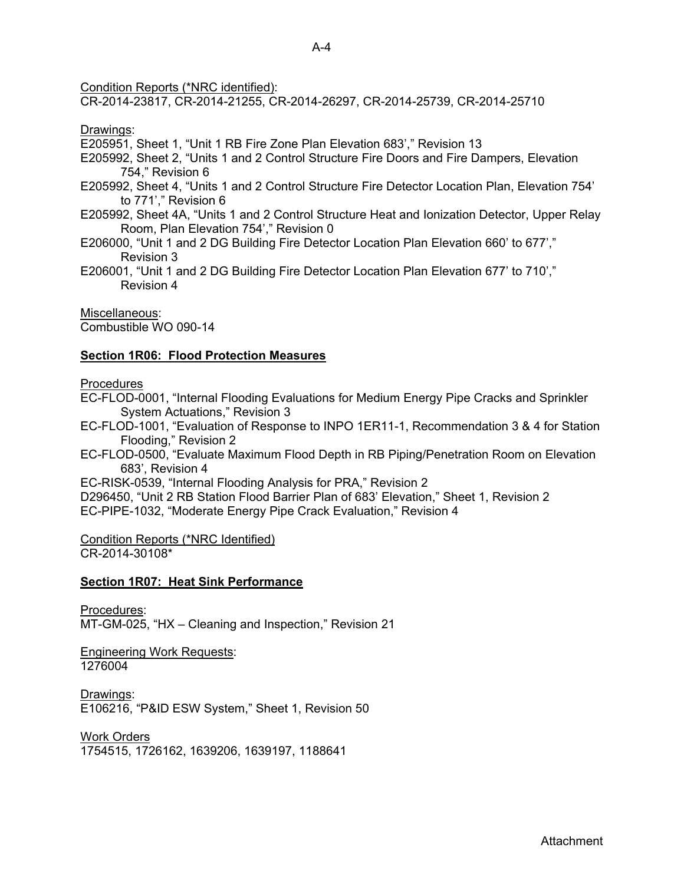Condition Reports (\*NRC identified):

CR-2014-23817, CR-2014-21255, CR-2014-26297, CR-2014-25739, CR-2014-25710

Drawings:

E205951, Sheet 1, "Unit 1 RB Fire Zone Plan Elevation 683'," Revision 13

- E205992, Sheet 2, "Units 1 and 2 Control Structure Fire Doors and Fire Dampers, Elevation 754," Revision 6
- E205992, Sheet 4, "Units 1 and 2 Control Structure Fire Detector Location Plan, Elevation 754' to 771'," Revision 6
- E205992, Sheet 4A, "Units 1 and 2 Control Structure Heat and Ionization Detector, Upper Relay Room, Plan Elevation 754'," Revision 0
- E206000, "Unit 1 and 2 DG Building Fire Detector Location Plan Elevation 660' to 677'," Revision 3
- E206001, "Unit 1 and 2 DG Building Fire Detector Location Plan Elevation 677' to 710'," Revision 4

Miscellaneous: Combustible WO 090-14

## **Section 1R06: Flood Protection Measures**

**Procedures** 

EC-FLOD-0001, "Internal Flooding Evaluations for Medium Energy Pipe Cracks and Sprinkler System Actuations," Revision 3

- EC-FLOD-1001, "Evaluation of Response to INPO 1ER11-1, Recommendation 3 & 4 for Station Flooding," Revision 2
- EC-FLOD-0500, "Evaluate Maximum Flood Depth in RB Piping/Penetration Room on Elevation 683', Revision 4

EC-RISK-0539, "Internal Flooding Analysis for PRA," Revision 2

D296450, "Unit 2 RB Station Flood Barrier Plan of 683' Elevation," Sheet 1, Revision 2 EC-PIPE-1032, "Moderate Energy Pipe Crack Evaluation," Revision 4

Condition Reports (\*NRC Identified) CR-2014-30108\*

## **Section 1R07: Heat Sink Performance**

Procedures:

MT-GM-025, "HX – Cleaning and Inspection," Revision 21

Engineering Work Requests: 1276004

Drawings: E106216, "P&ID ESW System," Sheet 1, Revision 50

Work Orders 1754515, 1726162, 1639206, 1639197, 1188641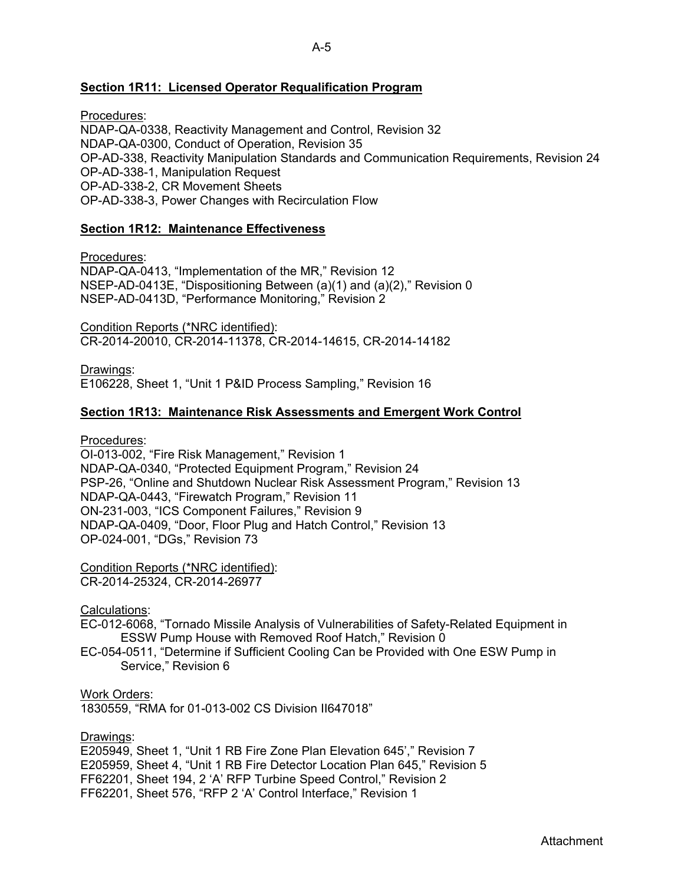## **Section 1R11: Licensed Operator Requalification Program**

Procedures: NDAP-QA-0338, Reactivity Management and Control, Revision 32 NDAP-QA-0300, Conduct of Operation, Revision 35 OP-AD-338, Reactivity Manipulation Standards and Communication Requirements, Revision 24 OP-AD-338-1, Manipulation Request OP-AD-338-2, CR Movement Sheets OP-AD-338-3, Power Changes with Recirculation Flow

## **Section 1R12: Maintenance Effectiveness**

Procedures:

NDAP-QA-0413, "Implementation of the MR," Revision 12 NSEP-AD-0413E, "Dispositioning Between (a)(1) and (a)(2)," Revision 0 NSEP-AD-0413D, "Performance Monitoring," Revision 2

Condition Reports (\*NRC identified): CR-2014-20010, CR-2014-11378, CR-2014-14615, CR-2014-14182

Drawings: E106228, Sheet 1, "Unit 1 P&ID Process Sampling," Revision 16

## **Section 1R13: Maintenance Risk Assessments and Emergent Work Control**

Procedures:

OI-013-002, "Fire Risk Management," Revision 1 NDAP-QA-0340, "Protected Equipment Program," Revision 24 PSP-26, "Online and Shutdown Nuclear Risk Assessment Program," Revision 13 NDAP-QA-0443, "Firewatch Program," Revision 11 ON-231-003, "ICS Component Failures," Revision 9 NDAP-QA-0409, "Door, Floor Plug and Hatch Control," Revision 13 OP-024-001, "DGs," Revision 73

Condition Reports (\*NRC identified): CR-2014-25324, CR-2014-26977

Calculations:

EC-012-6068, "Tornado Missile Analysis of Vulnerabilities of Safety-Related Equipment in ESSW Pump House with Removed Roof Hatch," Revision 0

EC-054-0511, "Determine if Sufficient Cooling Can be Provided with One ESW Pump in Service," Revision 6

Work Orders:

1830559, "RMA for 01-013-002 CS Division II647018"

Drawings:

E205949, Sheet 1, "Unit 1 RB Fire Zone Plan Elevation 645'," Revision 7 E205959, Sheet 4, "Unit 1 RB Fire Detector Location Plan 645," Revision 5 FF62201, Sheet 194, 2 'A' RFP Turbine Speed Control," Revision 2 FF62201, Sheet 576, "RFP 2 'A' Control Interface," Revision 1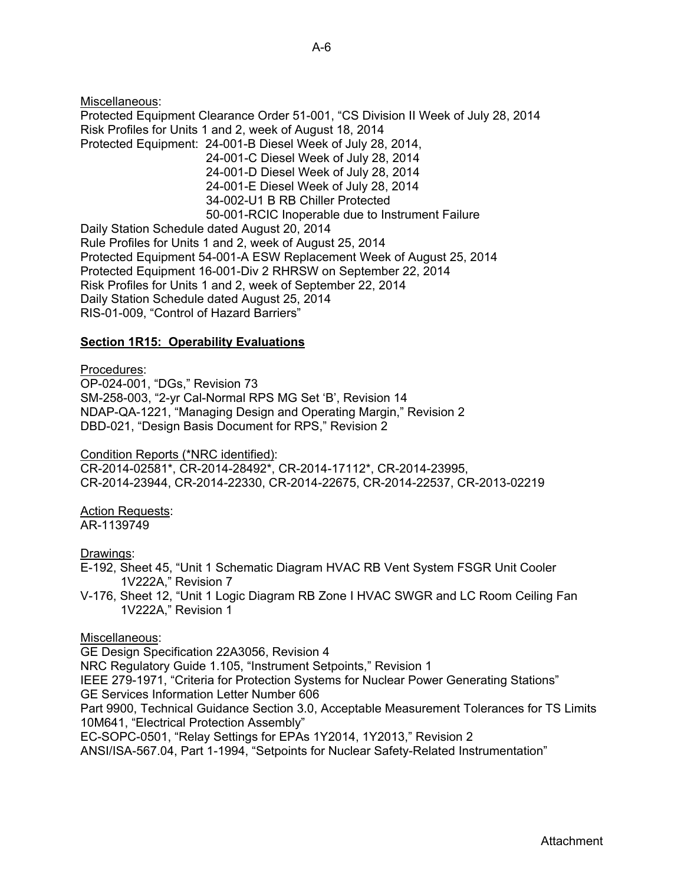Miscellaneous: Protected Equipment Clearance Order 51-001, "CS Division II Week of July 28, 2014 Risk Profiles for Units 1 and 2, week of August 18, 2014 Protected Equipment: 24-001-B Diesel Week of July 28, 2014, 24-001-C Diesel Week of July 28, 2014 24-001-D Diesel Week of July 28, 2014 24-001-E Diesel Week of July 28, 2014 34-002-U1 B RB Chiller Protected 50-001-RCIC Inoperable due to Instrument Failure Daily Station Schedule dated August 20, 2014 Rule Profiles for Units 1 and 2, week of August 25, 2014 Protected Equipment 54-001-A ESW Replacement Week of August 25, 2014 Protected Equipment 16-001-Div 2 RHRSW on September 22, 2014 Risk Profiles for Units 1 and 2, week of September 22, 2014 Daily Station Schedule dated August 25, 2014 RIS-01-009, "Control of Hazard Barriers"

## **Section 1R15: Operability Evaluations**

#### Procedures:

OP-024-001, "DGs," Revision 73 SM-258-003, "2-yr Cal-Normal RPS MG Set 'B', Revision 14 NDAP-QA-1221, "Managing Design and Operating Margin," Revision 2 DBD-021, "Design Basis Document for RPS," Revision 2

#### Condition Reports (\*NRC identified):

CR-2014-02581\*, CR-2014-28492\*, CR-2014-17112\*, CR-2014-23995, CR-2014-23944, CR-2014-22330, CR-2014-22675, CR-2014-22537, CR-2013-02219

Action Requests: AR-1139749

## Drawings:

- E-192, Sheet 45, "Unit 1 Schematic Diagram HVAC RB Vent System FSGR Unit Cooler 1V222A," Revision 7
- V-176, Sheet 12, "Unit 1 Logic Diagram RB Zone I HVAC SWGR and LC Room Ceiling Fan 1V222A," Revision 1

#### Miscellaneous:

GE Design Specification 22A3056, Revision 4 NRC Regulatory Guide 1.105, "Instrument Setpoints," Revision 1 IEEE 279-1971, "Criteria for Protection Systems for Nuclear Power Generating Stations" GE Services Information Letter Number 606 Part 9900, Technical Guidance Section 3.0, Acceptable Measurement Tolerances for TS Limits 10M641, "Electrical Protection Assembly" EC-SOPC-0501, "Relay Settings for EPAs 1Y2014, 1Y2013," Revision 2 ANSI/ISA-567.04, Part 1-1994, "Setpoints for Nuclear Safety-Related Instrumentation"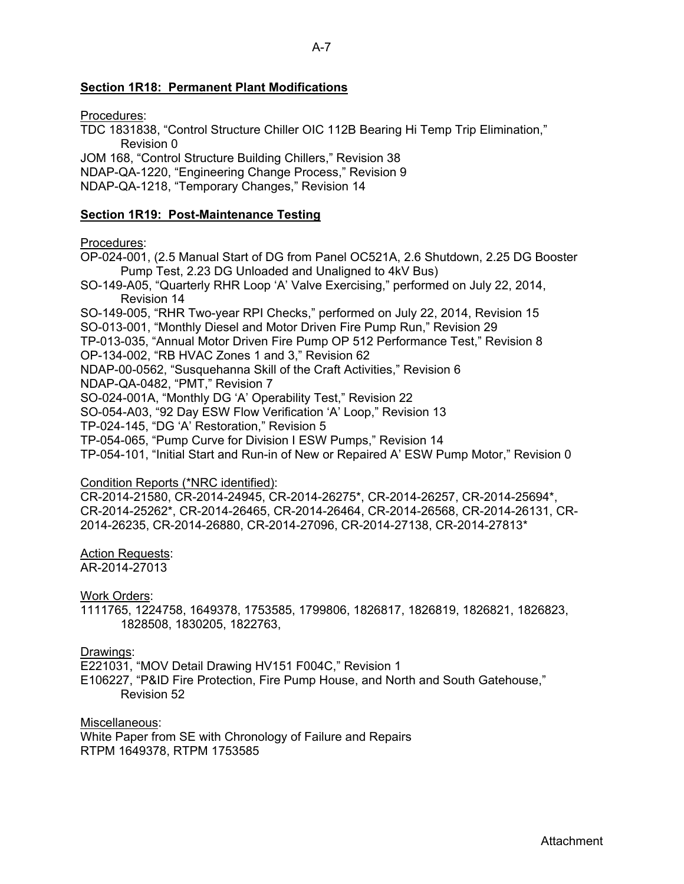## A-7

## **Section 1R18: Permanent Plant Modifications**

Procedures:

TDC 1831838, "Control Structure Chiller OIC 112B Bearing Hi Temp Trip Elimination," Revision 0

JOM 168, "Control Structure Building Chillers," Revision 38 NDAP-QA-1220, "Engineering Change Process," Revision 9 NDAP-QA-1218, "Temporary Changes," Revision 14

## **Section 1R19: Post-Maintenance Testing**

Procedures:

OP-024-001, (2.5 Manual Start of DG from Panel OC521A, 2.6 Shutdown, 2.25 DG Booster Pump Test, 2.23 DG Unloaded and Unaligned to 4kV Bus)

SO-149-A05, "Quarterly RHR Loop 'A' Valve Exercising," performed on July 22, 2014, Revision 14

SO-149-005, "RHR Two-year RPI Checks," performed on July 22, 2014, Revision 15

SO-013-001, "Monthly Diesel and Motor Driven Fire Pump Run," Revision 29

TP-013-035, "Annual Motor Driven Fire Pump OP 512 Performance Test," Revision 8

OP-134-002, "RB HVAC Zones 1 and 3," Revision 62

NDAP-00-0562, "Susquehanna Skill of the Craft Activities," Revision 6

NDAP-QA-0482, "PMT," Revision 7

SO-024-001A, "Monthly DG 'A' Operability Test," Revision 22

SO-054-A03, "92 Day ESW Flow Verification 'A' Loop," Revision 13

TP-024-145, "DG 'A' Restoration," Revision 5

TP-054-065, "Pump Curve for Division I ESW Pumps," Revision 14

TP-054-101, "Initial Start and Run-in of New or Repaired A' ESW Pump Motor," Revision 0

## Condition Reports (\*NRC identified):

CR-2014-21580, CR-2014-24945, CR-2014-26275\*, CR-2014-26257, CR-2014-25694\*, CR-2014-25262\*, CR-2014-26465, CR-2014-26464, CR-2014-26568, CR-2014-26131, CR-2014-26235, CR-2014-26880, CR-2014-27096, CR-2014-27138, CR-2014-27813\*

## Action Requests:

AR-2014-27013

Work Orders:

1111765, 1224758, 1649378, 1753585, 1799806, 1826817, 1826819, 1826821, 1826823, 1828508, 1830205, 1822763,

## Drawings:

E221031, "MOV Detail Drawing HV151 F004C," Revision 1

E106227, "P&ID Fire Protection, Fire Pump House, and North and South Gatehouse," Revision 52

Miscellaneous:

White Paper from SE with Chronology of Failure and Repairs RTPM 1649378, RTPM 1753585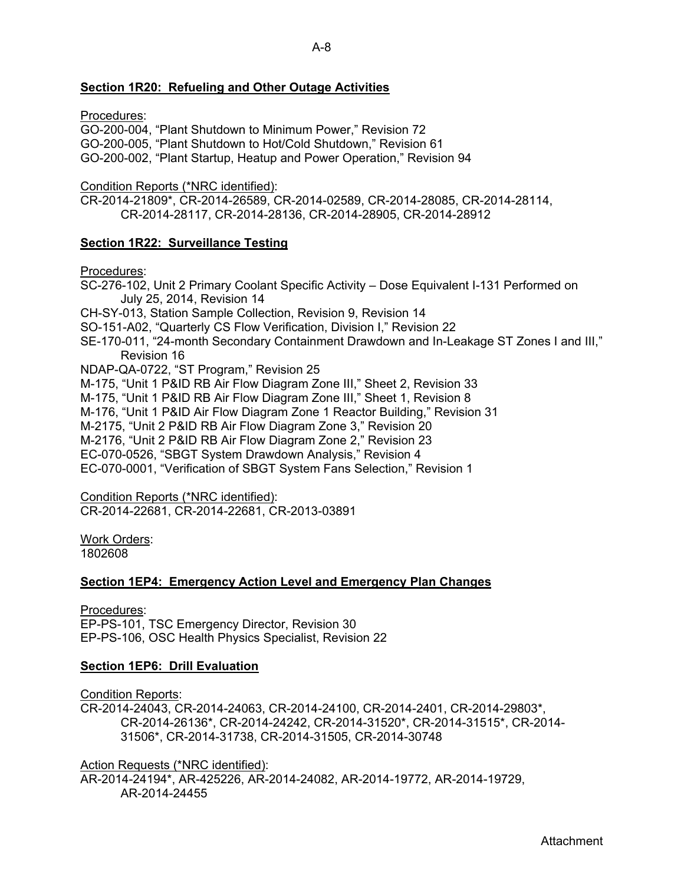## **Section 1R20: Refueling and Other Outage Activities**

Procedures:

GO-200-004, "Plant Shutdown to Minimum Power," Revision 72 GO-200-005, "Plant Shutdown to Hot/Cold Shutdown," Revision 61 GO-200-002, "Plant Startup, Heatup and Power Operation," Revision 94

Condition Reports (\*NRC identified):

CR-2014-21809\*, CR-2014-26589, CR-2014-02589, CR-2014-28085, CR-2014-28114, CR-2014-28117, CR-2014-28136, CR-2014-28905, CR-2014-28912

## **Section 1R22: Surveillance Testing**

Procedures:

SC-276-102, Unit 2 Primary Coolant Specific Activity – Dose Equivalent I-131 Performed on July 25, 2014, Revision 14 CH-SY-013, Station Sample Collection, Revision 9, Revision 14 SO-151-A02, "Quarterly CS Flow Verification, Division I," Revision 22 SE-170-011, "24-month Secondary Containment Drawdown and In-Leakage ST Zones I and III," Revision 16 NDAP-QA-0722, "ST Program," Revision 25 M-175, "Unit 1 P&ID RB Air Flow Diagram Zone III," Sheet 2, Revision 33 M-175, "Unit 1 P&ID RB Air Flow Diagram Zone III," Sheet 1, Revision 8 M-176, "Unit 1 P&ID Air Flow Diagram Zone 1 Reactor Building," Revision 31 M-2175, "Unit 2 P&ID RB Air Flow Diagram Zone 3," Revision 20 M-2176, "Unit 2 P&ID RB Air Flow Diagram Zone 2," Revision 23 EC-070-0526, "SBGT System Drawdown Analysis," Revision 4 EC-070-0001, "Verification of SBGT System Fans Selection," Revision 1

Condition Reports (\*NRC identified):

CR-2014-22681, CR-2014-22681, CR-2013-03891

Work Orders:

1802608

## **Section 1EP4: Emergency Action Level and Emergency Plan Changes**

Procedures:

EP-PS-101, TSC Emergency Director, Revision 30 EP-PS-106, OSC Health Physics Specialist, Revision 22

## **Section 1EP6: Drill Evaluation**

Condition Reports:

CR-2014-24043, CR-2014-24063, CR-2014-24100, CR-2014-2401, CR-2014-29803\*, CR-2014-26136\*, CR-2014-24242, CR-2014-31520\*, CR-2014-31515\*, CR-2014- 31506\*, CR-2014-31738, CR-2014-31505, CR-2014-30748

Action Requests (\*NRC identified):

AR-2014-24194\*, AR-425226, AR-2014-24082, AR-2014-19772, AR-2014-19729, AR-2014-24455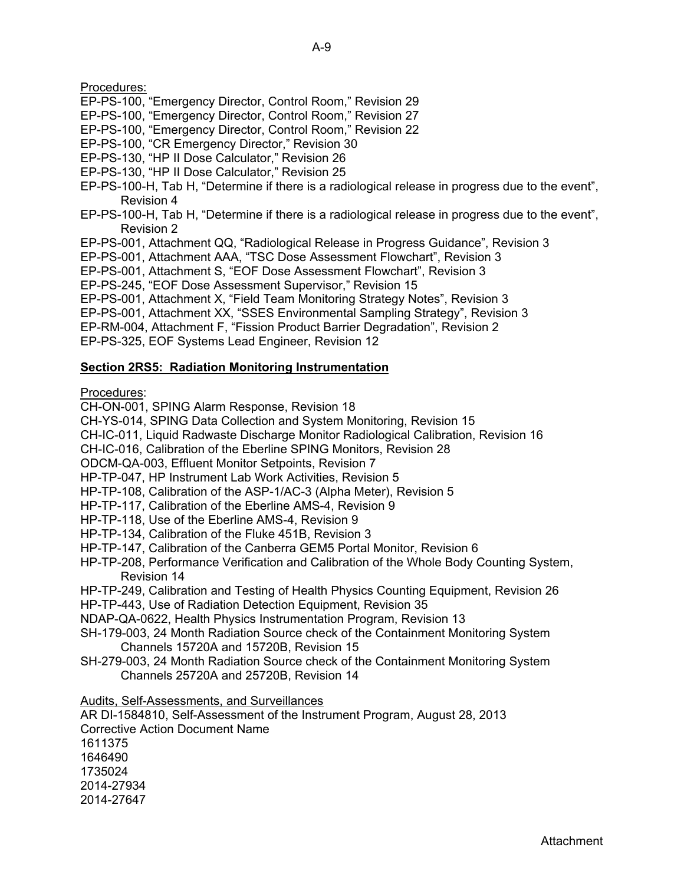Procedures:

- EP-PS-100, "Emergency Director, Control Room," Revision 29
- EP-PS-100, "Emergency Director, Control Room," Revision 27
- EP-PS-100, "Emergency Director, Control Room," Revision 22
- EP-PS-100, "CR Emergency Director," Revision 30
- EP-PS-130, "HP II Dose Calculator," Revision 26
- EP-PS-130, "HP II Dose Calculator," Revision 25
- EP-PS-100-H, Tab H, "Determine if there is a radiological release in progress due to the event", Revision 4
- EP-PS-100-H, Tab H, "Determine if there is a radiological release in progress due to the event", Revision 2
- EP-PS-001, Attachment QQ, "Radiological Release in Progress Guidance", Revision 3
- EP-PS-001, Attachment AAA, "TSC Dose Assessment Flowchart", Revision 3
- EP-PS-001, Attachment S, "EOF Dose Assessment Flowchart", Revision 3
- EP-PS-245, "EOF Dose Assessment Supervisor," Revision 15
- EP-PS-001, Attachment X, "Field Team Monitoring Strategy Notes", Revision 3
- EP-PS-001, Attachment XX, "SSES Environmental Sampling Strategy", Revision 3
- EP-RM-004, Attachment F, "Fission Product Barrier Degradation", Revision 2
- EP-PS-325, EOF Systems Lead Engineer, Revision 12

## **Section 2RS5: Radiation Monitoring Instrumentation**

Procedures:

- CH-ON-001, SPING Alarm Response, Revision 18
- CH-YS-014, SPING Data Collection and System Monitoring, Revision 15
- CH-IC-011, Liquid Radwaste Discharge Monitor Radiological Calibration, Revision 16
- CH-IC-016, Calibration of the Eberline SPING Monitors, Revision 28
- ODCM-QA-003, Effluent Monitor Setpoints, Revision 7
- HP-TP-047, HP Instrument Lab Work Activities, Revision 5
- HP-TP-108, Calibration of the ASP-1/AC-3 (Alpha Meter), Revision 5
- HP-TP-117, Calibration of the Eberline AMS-4, Revision 9
- HP-TP-118, Use of the Eberline AMS-4, Revision 9
- HP-TP-134, Calibration of the Fluke 451B, Revision 3
- HP-TP-147, Calibration of the Canberra GEM5 Portal Monitor, Revision 6
- HP-TP-208, Performance Verification and Calibration of the Whole Body Counting System, Revision 14
- HP-TP-249, Calibration and Testing of Health Physics Counting Equipment, Revision 26
- HP-TP-443, Use of Radiation Detection Equipment, Revision 35
- NDAP-QA-0622, Health Physics Instrumentation Program, Revision 13
- SH-179-003, 24 Month Radiation Source check of the Containment Monitoring System Channels 15720A and 15720B, Revision 15
- SH-279-003, 24 Month Radiation Source check of the Containment Monitoring System Channels 25720A and 25720B, Revision 14
- Audits, Self-Assessments, and Surveillances
- AR DI-1584810, Self-Assessment of the Instrument Program, August 28, 2013 Corrective Action Document Name

1611375 1646490 1735024

2014-27934

2014-27647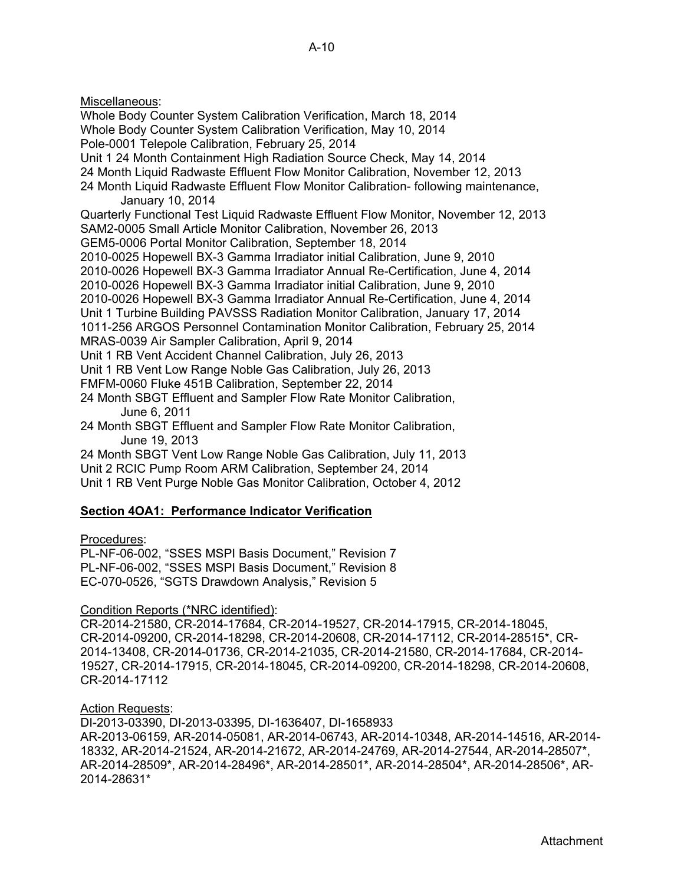Miscellaneous: Whole Body Counter System Calibration Verification, March 18, 2014 Whole Body Counter System Calibration Verification, May 10, 2014 Pole-0001 Telepole Calibration, February 25, 2014 Unit 1 24 Month Containment High Radiation Source Check, May 14, 2014 24 Month Liquid Radwaste Effluent Flow Monitor Calibration, November 12, 2013 24 Month Liquid Radwaste Effluent Flow Monitor Calibration- following maintenance, January 10, 2014 Quarterly Functional Test Liquid Radwaste Effluent Flow Monitor, November 12, 2013 SAM2-0005 Small Article Monitor Calibration, November 26, 2013 GEM5-0006 Portal Monitor Calibration, September 18, 2014 2010-0025 Hopewell BX-3 Gamma Irradiator initial Calibration, June 9, 2010 2010-0026 Hopewell BX-3 Gamma Irradiator Annual Re-Certification, June 4, 2014 2010-0026 Hopewell BX-3 Gamma Irradiator initial Calibration, June 9, 2010 2010-0026 Hopewell BX-3 Gamma Irradiator Annual Re-Certification, June 4, 2014 Unit 1 Turbine Building PAVSSS Radiation Monitor Calibration, January 17, 2014 1011-256 ARGOS Personnel Contamination Monitor Calibration, February 25, 2014 MRAS-0039 Air Sampler Calibration, April 9, 2014 Unit 1 RB Vent Accident Channel Calibration, July 26, 2013 Unit 1 RB Vent Low Range Noble Gas Calibration, July 26, 2013 FMFM-0060 Fluke 451B Calibration, September 22, 2014 24 Month SBGT Effluent and Sampler Flow Rate Monitor Calibration, June 6, 2011 24 Month SBGT Effluent and Sampler Flow Rate Monitor Calibration, June 19, 2013 24 Month SBGT Vent Low Range Noble Gas Calibration, July 11, 2013 Unit 2 RCIC Pump Room ARM Calibration, September 24, 2014

Unit 1 RB Vent Purge Noble Gas Monitor Calibration, October 4, 2012

## **Section 4OA1: Performance Indicator Verification**

## Procedures:

PL-NF-06-002, "SSES MSPI Basis Document," Revision 7 PL-NF-06-002, "SSES MSPI Basis Document," Revision 8 EC-070-0526, "SGTS Drawdown Analysis," Revision 5

## Condition Reports (\*NRC identified):

CR-2014-21580, CR-2014-17684, CR-2014-19527, CR-2014-17915, CR-2014-18045, CR-2014-09200, CR-2014-18298, CR-2014-20608, CR-2014-17112, CR-2014-28515\*, CR-2014-13408, CR-2014-01736, CR-2014-21035, CR-2014-21580, CR-2014-17684, CR-2014- 19527, CR-2014-17915, CR-2014-18045, CR-2014-09200, CR-2014-18298, CR-2014-20608, CR-2014-17112

#### Action Requests:

DI-2013-03390, DI-2013-03395, DI-1636407, DI-1658933

AR-2013-06159, AR-2014-05081, AR-2014-06743, AR-2014-10348, AR-2014-14516, AR-2014- 18332, AR-2014-21524, AR-2014-21672, AR-2014-24769, AR-2014-27544, AR-2014-28507\*, AR-2014-28509\*, AR-2014-28496\*, AR-2014-28501\*, AR-2014-28504\*, AR-2014-28506\*, AR-2014-28631\*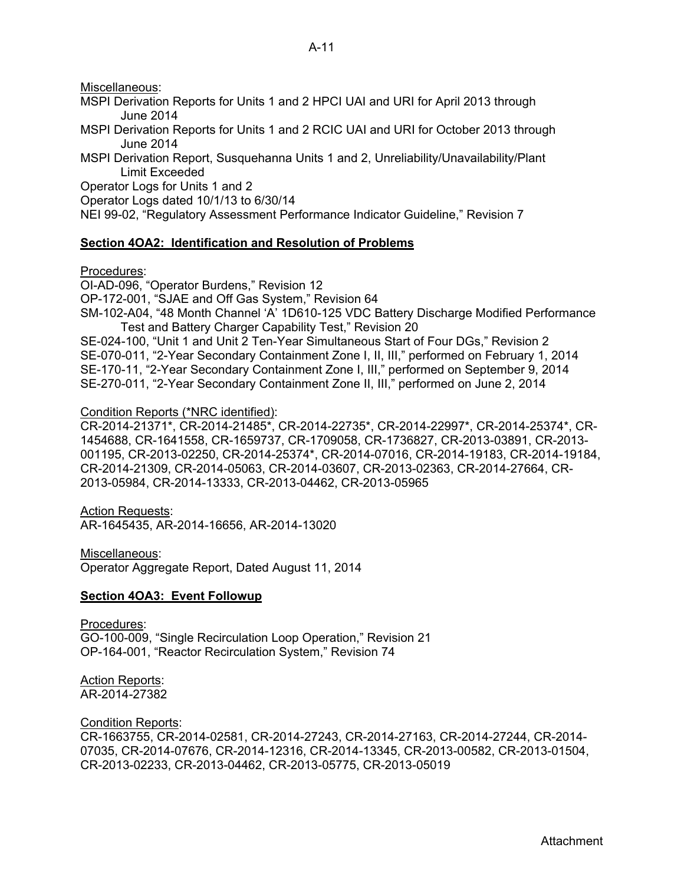Miscellaneous:

- MSPI Derivation Reports for Units 1 and 2 HPCI UAI and URI for April 2013 through June 2014
- MSPI Derivation Reports for Units 1 and 2 RCIC UAI and URI for October 2013 through June 2014
- MSPI Derivation Report, Susquehanna Units 1 and 2, Unreliability/Unavailability/Plant Limit Exceeded

Operator Logs for Units 1 and 2

Operator Logs dated 10/1/13 to 6/30/14

NEI 99-02, "Regulatory Assessment Performance Indicator Guideline," Revision 7

## **Section 4OA2: Identification and Resolution of Problems**

Procedures:

OI-AD-096, "Operator Burdens," Revision 12

OP-172-001, "SJAE and Off Gas System," Revision 64

SM-102-A04, "48 Month Channel 'A' 1D610-125 VDC Battery Discharge Modified Performance Test and Battery Charger Capability Test," Revision 20

SE-024-100, "Unit 1 and Unit 2 Ten-Year Simultaneous Start of Four DGs," Revision 2 SE-070-011, "2-Year Secondary Containment Zone I, II, III," performed on February 1, 2014 SE-170-11, "2-Year Secondary Containment Zone I, III," performed on September 9, 2014 SE-270-011, "2-Year Secondary Containment Zone II, III," performed on June 2, 2014

Condition Reports (\*NRC identified):

CR-2014-21371\*, CR-2014-21485\*, CR-2014-22735\*, CR-2014-22997\*, CR-2014-25374\*, CR-1454688, CR-1641558, CR-1659737, CR-1709058, CR-1736827, CR-2013-03891, CR-2013- 001195, CR-2013-02250, CR-2014-25374\*, CR-2014-07016, CR-2014-19183, CR-2014-19184, CR-2014-21309, CR-2014-05063, CR-2014-03607, CR-2013-02363, CR-2014-27664, CR-2013-05984, CR-2014-13333, CR-2013-04462, CR-2013-05965

**Action Requests:** AR-1645435, AR-2014-16656, AR-2014-13020

Miscellaneous:

Operator Aggregate Report, Dated August 11, 2014

## **Section 4OA3: Event Followup**

Procedures: GO-100-009, "Single Recirculation Loop Operation," Revision 21 OP-164-001, "Reactor Recirculation System," Revision 74

Action Reports: AR-2014-27382

Condition Reports:

CR-1663755, CR-2014-02581, CR-2014-27243, CR-2014-27163, CR-2014-27244, CR-2014- 07035, CR-2014-07676, CR-2014-12316, CR-2014-13345, CR-2013-00582, CR-2013-01504, CR-2013-02233, CR-2013-04462, CR-2013-05775, CR-2013-05019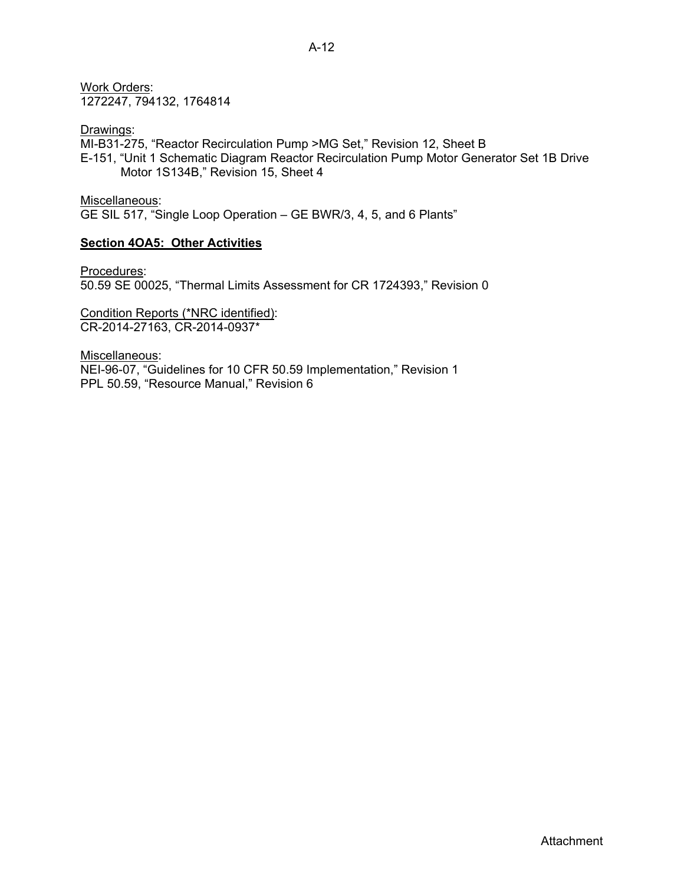Work Orders: 1272247, 794132, 1764814

Drawings: MI-B31-275, "Reactor Recirculation Pump >MG Set," Revision 12, Sheet B E-151, "Unit 1 Schematic Diagram Reactor Recirculation Pump Motor Generator Set 1B Drive Motor 1S134B," Revision 15, Sheet 4

Miscellaneous: GE SIL 517, "Single Loop Operation – GE BWR/3, 4, 5, and 6 Plants"

## **Section 4OA5: Other Activities**

Procedures: 50.59 SE 00025, "Thermal Limits Assessment for CR 1724393," Revision 0

Condition Reports (\*NRC identified): CR-2014-27163, CR-2014-0937\*

Miscellaneous: NEI-96-07, "Guidelines for 10 CFR 50.59 Implementation," Revision 1 PPL 50.59, "Resource Manual," Revision 6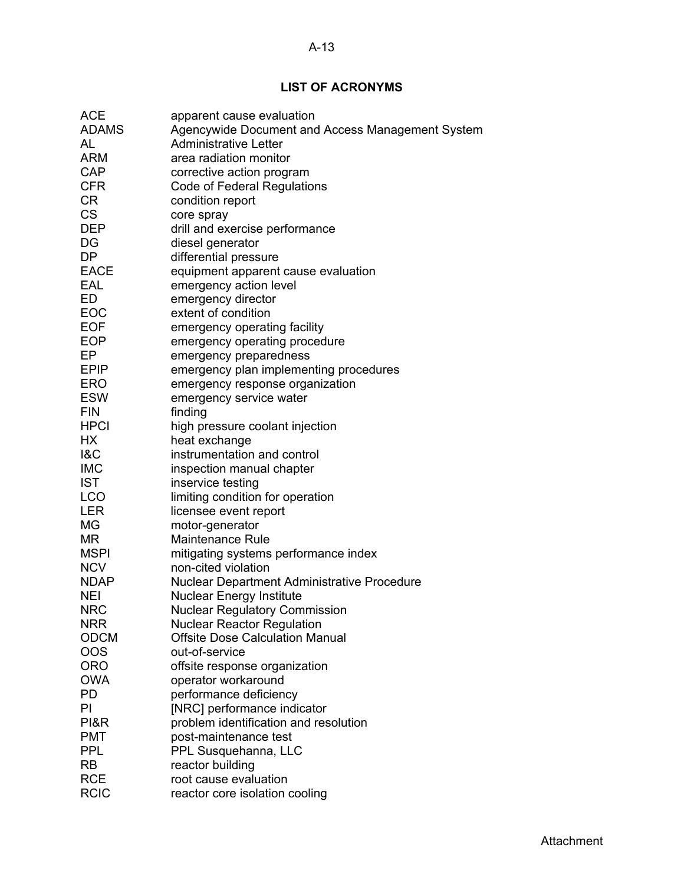## A-13

# **LIST OF ACRONYMS**

| <b>ACE</b>     | apparent cause evaluation                          |
|----------------|----------------------------------------------------|
| <b>ADAMS</b>   | Agencywide Document and Access Management System   |
| AL             | <b>Administrative Letter</b>                       |
| ARM            | area radiation monitor                             |
| <b>CAP</b>     | corrective action program                          |
| <b>CFR</b>     | Code of Federal Regulations                        |
| <b>CR</b>      | condition report                                   |
| <b>CS</b>      | core spray                                         |
| <b>DEP</b>     | drill and exercise performance                     |
| DG             | diesel generator                                   |
| <b>DP</b>      | differential pressure                              |
| <b>EACE</b>    | equipment apparent cause evaluation                |
| EAL            | emergency action level                             |
| ED             | emergency director                                 |
| EOC            | extent of condition                                |
| <b>EOF</b>     | emergency operating facility                       |
| <b>EOP</b>     | emergency operating procedure                      |
| EP             | emergency preparedness                             |
| <b>EPIP</b>    | emergency plan implementing procedures             |
| <b>ERO</b>     | emergency response organization                    |
| <b>ESW</b>     | emergency service water                            |
| <b>FIN</b>     | finding                                            |
| <b>HPCI</b>    | high pressure coolant injection                    |
| HX             | heat exchange                                      |
| <b>1&amp;C</b> | instrumentation and control                        |
| <b>IMC</b>     | inspection manual chapter                          |
| <b>IST</b>     | inservice testing                                  |
| LCO            | limiting condition for operation                   |
| <b>LER</b>     | licensee event report                              |
| MG             | motor-generator                                    |
| MR             | <b>Maintenance Rule</b>                            |
| <b>MSPI</b>    | mitigating systems performance index               |
| <b>NCV</b>     | non-cited violation                                |
| <b>NDAP</b>    | <b>Nuclear Department Administrative Procedure</b> |
| <b>NEI</b>     | <b>Nuclear Energy Institute</b>                    |
| <b>NRC</b>     | <b>Nuclear Regulatory Commission</b>               |
| <b>NRR</b>     | <b>Nuclear Reactor Regulation</b>                  |
| <b>ODCM</b>    | <b>Offsite Dose Calculation Manual</b>             |
| OOS            | out-of-service                                     |
| ORO            | offsite response organization                      |
| <b>OWA</b>     | operator workaround                                |
| PD             | performance deficiency                             |
| PI             | [NRC] performance indicator                        |
| PI&R           | problem identification and resolution              |
| <b>PMT</b>     | post-maintenance test                              |
| <b>PPL</b>     | PPL Susquehanna, LLC                               |
| <b>RB</b>      | reactor building                                   |
| <b>RCE</b>     | root cause evaluation                              |
| <b>RCIC</b>    | reactor core isolation cooling                     |